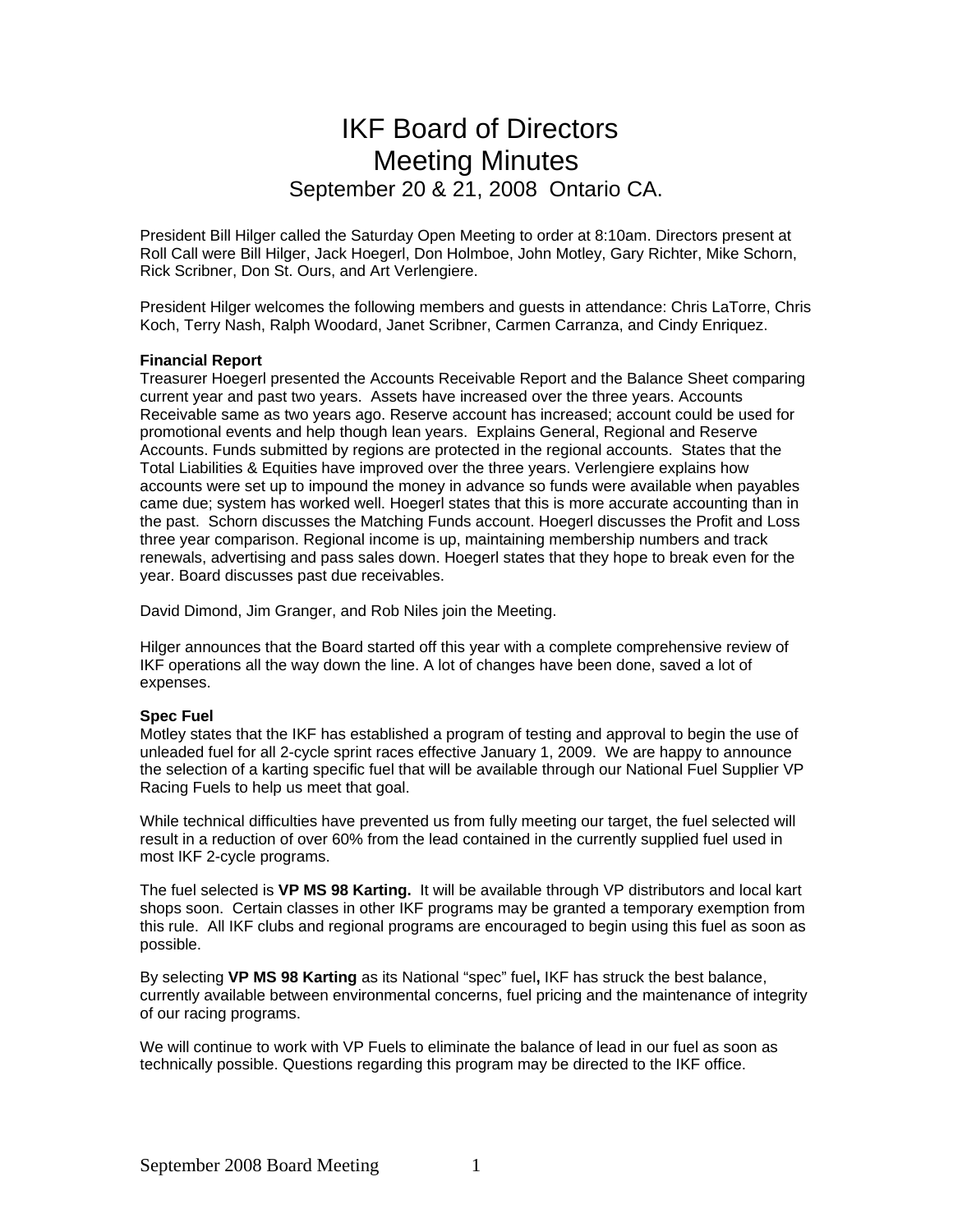# IKF Board of Directors Meeting Minutes September 20 & 21, 2008 Ontario CA.

President Bill Hilger called the Saturday Open Meeting to order at 8:10am. Directors present at Roll Call were Bill Hilger, Jack Hoegerl, Don Holmboe, John Motley, Gary Richter, Mike Schorn, Rick Scribner, Don St. Ours, and Art Verlengiere.

President Hilger welcomes the following members and guests in attendance: Chris LaTorre, Chris Koch, Terry Nash, Ralph Woodard, Janet Scribner, Carmen Carranza, and Cindy Enriquez.

#### **Financial Report**

Treasurer Hoegerl presented the Accounts Receivable Report and the Balance Sheet comparing current year and past two years. Assets have increased over the three years. Accounts Receivable same as two years ago. Reserve account has increased; account could be used for promotional events and help though lean years. Explains General, Regional and Reserve Accounts. Funds submitted by regions are protected in the regional accounts. States that the Total Liabilities & Equities have improved over the three years. Verlengiere explains how accounts were set up to impound the money in advance so funds were available when payables came due; system has worked well. Hoegerl states that this is more accurate accounting than in the past. Schorn discusses the Matching Funds account. Hoegerl discusses the Profit and Loss three year comparison. Regional income is up, maintaining membership numbers and track renewals, advertising and pass sales down. Hoegerl states that they hope to break even for the year. Board discusses past due receivables.

David Dimond, Jim Granger, and Rob Niles join the Meeting.

Hilger announces that the Board started off this year with a complete comprehensive review of IKF operations all the way down the line. A lot of changes have been done, saved a lot of expenses.

#### **Spec Fuel**

Motley states that the IKF has established a program of testing and approval to begin the use of unleaded fuel for all 2-cycle sprint races effective January 1, 2009. We are happy to announce the selection of a karting specific fuel that will be available through our National Fuel Supplier VP Racing Fuels to help us meet that goal.

While technical difficulties have prevented us from fully meeting our target, the fuel selected will result in a reduction of over 60% from the lead contained in the currently supplied fuel used in most IKF 2-cycle programs.

The fuel selected is **VP MS 98 Karting.** It will be available through VP distributors and local kart shops soon. Certain classes in other IKF programs may be granted a temporary exemption from this rule. All IKF clubs and regional programs are encouraged to begin using this fuel as soon as possible.

By selecting **VP MS 98 Karting** as its National "spec" fuel**,** IKF has struck the best balance, currently available between environmental concerns, fuel pricing and the maintenance of integrity of our racing programs.

We will continue to work with VP Fuels to eliminate the balance of lead in our fuel as soon as technically possible. Questions regarding this program may be directed to the IKF office.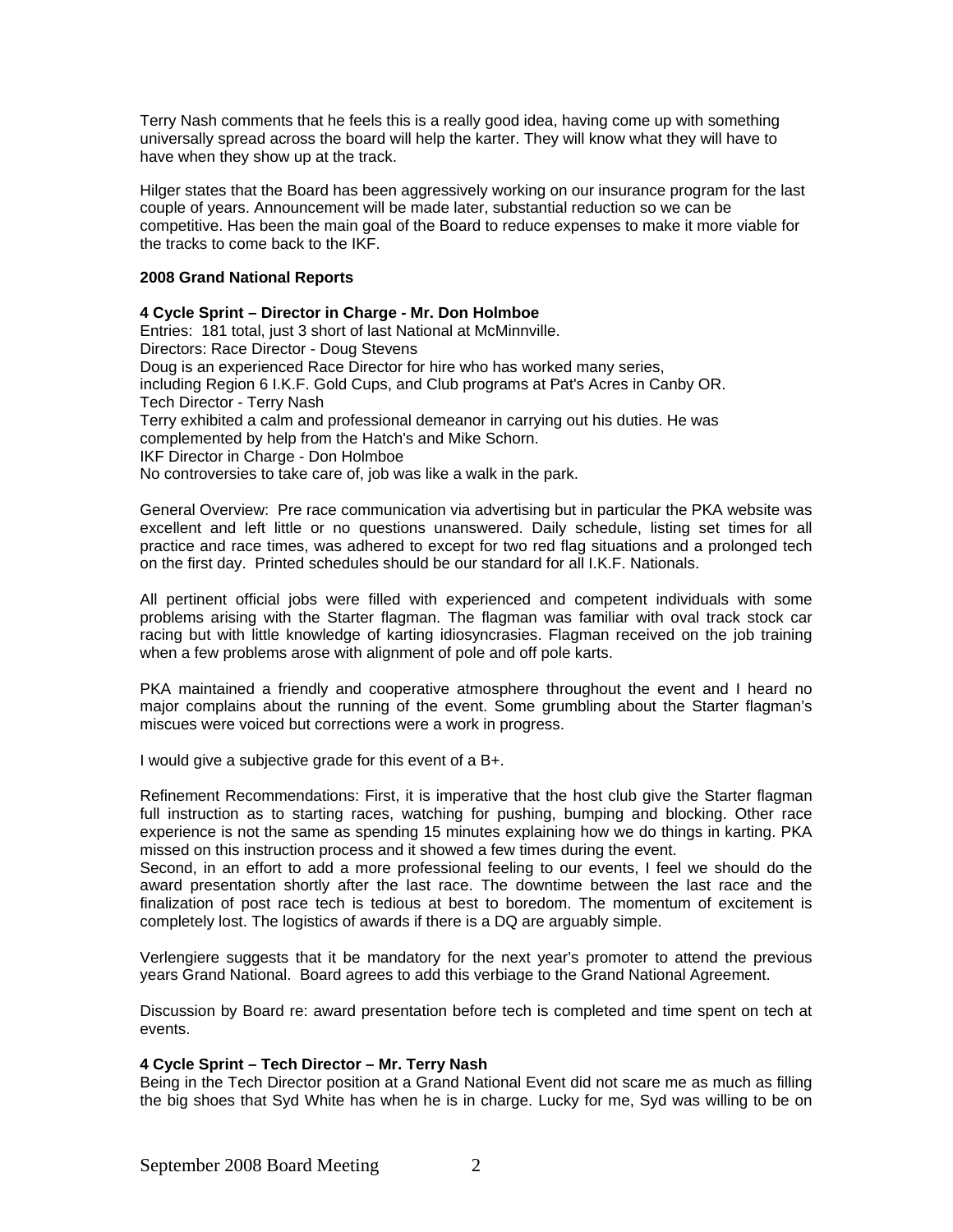Terry Nash comments that he feels this is a really good idea, having come up with something universally spread across the board will help the karter. They will know what they will have to have when they show up at the track.

Hilger states that the Board has been aggressively working on our insurance program for the last couple of years. Announcement will be made later, substantial reduction so we can be competitive. Has been the main goal of the Board to reduce expenses to make it more viable for the tracks to come back to the IKF.

#### **2008 Grand National Reports**

**4 Cycle Sprint – Director in Charge - Mr. Don Holmboe** Entries: 181 total, just 3 short of last National at McMinnville. Directors: Race Director - Doug Stevens Doug is an experienced Race Director for hire who has worked many series, including Region 6 I.K.F. Gold Cups, and Club programs at Pat's Acres in Canby OR. Tech Director - Terry Nash Terry exhibited a calm and professional demeanor in carrying out his duties. He was complemented by help from the Hatch's and Mike Schorn. IKF Director in Charge - Don Holmboe No controversies to take care of, job was like a walk in the park.

General Overview: Pre race communication via advertising but in particular the PKA website was excellent and left little or no questions unanswered. Daily schedule, listing set times for all practice and race times, was adhered to except for two red flag situations and a prolonged tech on the first day. Printed schedules should be our standard for all I.K.F. Nationals.

All pertinent official jobs were filled with experienced and competent individuals with some problems arising with the Starter flagman. The flagman was familiar with oval track stock car racing but with little knowledge of karting idiosyncrasies. Flagman received on the job training when a few problems arose with alignment of pole and off pole karts.

PKA maintained a friendly and cooperative atmosphere throughout the event and I heard no major complains about the running of the event. Some grumbling about the Starter flagman's miscues were voiced but corrections were a work in progress.

I would give a subjective grade for this event of a B+.

Refinement Recommendations: First, it is imperative that the host club give the Starter flagman full instruction as to starting races, watching for pushing, bumping and blocking. Other race experience is not the same as spending 15 minutes explaining how we do things in karting. PKA missed on this instruction process and it showed a few times during the event.

Second, in an effort to add a more professional feeling to our events, I feel we should do the award presentation shortly after the last race. The downtime between the last race and the finalization of post race tech is tedious at best to boredom. The momentum of excitement is completely lost. The logistics of awards if there is a DQ are arguably simple.

Verlengiere suggests that it be mandatory for the next year's promoter to attend the previous years Grand National. Board agrees to add this verbiage to the Grand National Agreement.

Discussion by Board re: award presentation before tech is completed and time spent on tech at events.

# **4 Cycle Sprint – Tech Director – Mr. Terry Nash**

Being in the Tech Director position at a Grand National Event did not scare me as much as filling the big shoes that Syd White has when he is in charge. Lucky for me, Syd was willing to be on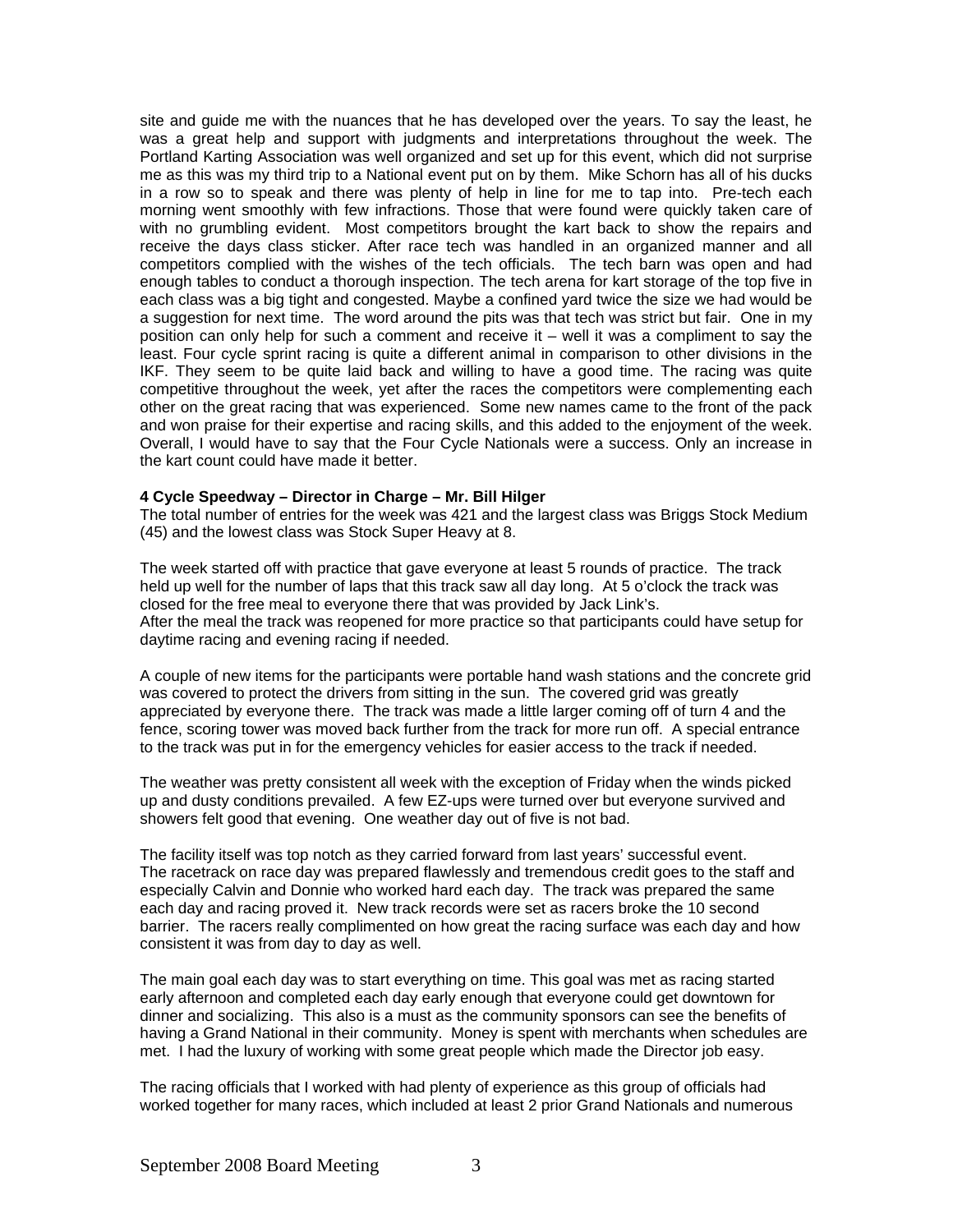site and guide me with the nuances that he has developed over the years. To say the least, he was a great help and support with judgments and interpretations throughout the week. The Portland Karting Association was well organized and set up for this event, which did not surprise me as this was my third trip to a National event put on by them. Mike Schorn has all of his ducks in a row so to speak and there was plenty of help in line for me to tap into. Pre-tech each morning went smoothly with few infractions. Those that were found were quickly taken care of with no grumbling evident. Most competitors brought the kart back to show the repairs and receive the days class sticker. After race tech was handled in an organized manner and all competitors complied with the wishes of the tech officials. The tech barn was open and had enough tables to conduct a thorough inspection. The tech arena for kart storage of the top five in each class was a big tight and congested. Maybe a confined yard twice the size we had would be a suggestion for next time. The word around the pits was that tech was strict but fair. One in my position can only help for such a comment and receive it – well it was a compliment to say the least. Four cycle sprint racing is quite a different animal in comparison to other divisions in the IKF. They seem to be quite laid back and willing to have a good time. The racing was quite competitive throughout the week, yet after the races the competitors were complementing each other on the great racing that was experienced. Some new names came to the front of the pack and won praise for their expertise and racing skills, and this added to the enjoyment of the week. Overall, I would have to say that the Four Cycle Nationals were a success. Only an increase in the kart count could have made it better.

#### **4 Cycle Speedway – Director in Charge – Mr. Bill Hilger**

The total number of entries for the week was 421 and the largest class was Briggs Stock Medium (45) and the lowest class was Stock Super Heavy at 8.

The week started off with practice that gave everyone at least 5 rounds of practice. The track held up well for the number of laps that this track saw all day long. At 5 o'clock the track was closed for the free meal to everyone there that was provided by Jack Link's. After the meal the track was reopened for more practice so that participants could have setup for daytime racing and evening racing if needed.

A couple of new items for the participants were portable hand wash stations and the concrete grid was covered to protect the drivers from sitting in the sun. The covered grid was greatly appreciated by everyone there. The track was made a little larger coming off of turn 4 and the fence, scoring tower was moved back further from the track for more run off. A special entrance to the track was put in for the emergency vehicles for easier access to the track if needed.

The weather was pretty consistent all week with the exception of Friday when the winds picked up and dusty conditions prevailed. A few EZ-ups were turned over but everyone survived and showers felt good that evening. One weather day out of five is not bad.

The facility itself was top notch as they carried forward from last years' successful event. The racetrack on race day was prepared flawlessly and tremendous credit goes to the staff and especially Calvin and Donnie who worked hard each day. The track was prepared the same each day and racing proved it. New track records were set as racers broke the 10 second barrier. The racers really complimented on how great the racing surface was each day and how consistent it was from day to day as well.

The main goal each day was to start everything on time. This goal was met as racing started early afternoon and completed each day early enough that everyone could get downtown for dinner and socializing. This also is a must as the community sponsors can see the benefits of having a Grand National in their community. Money is spent with merchants when schedules are met. I had the luxury of working with some great people which made the Director job easy.

The racing officials that I worked with had plenty of experience as this group of officials had worked together for many races, which included at least 2 prior Grand Nationals and numerous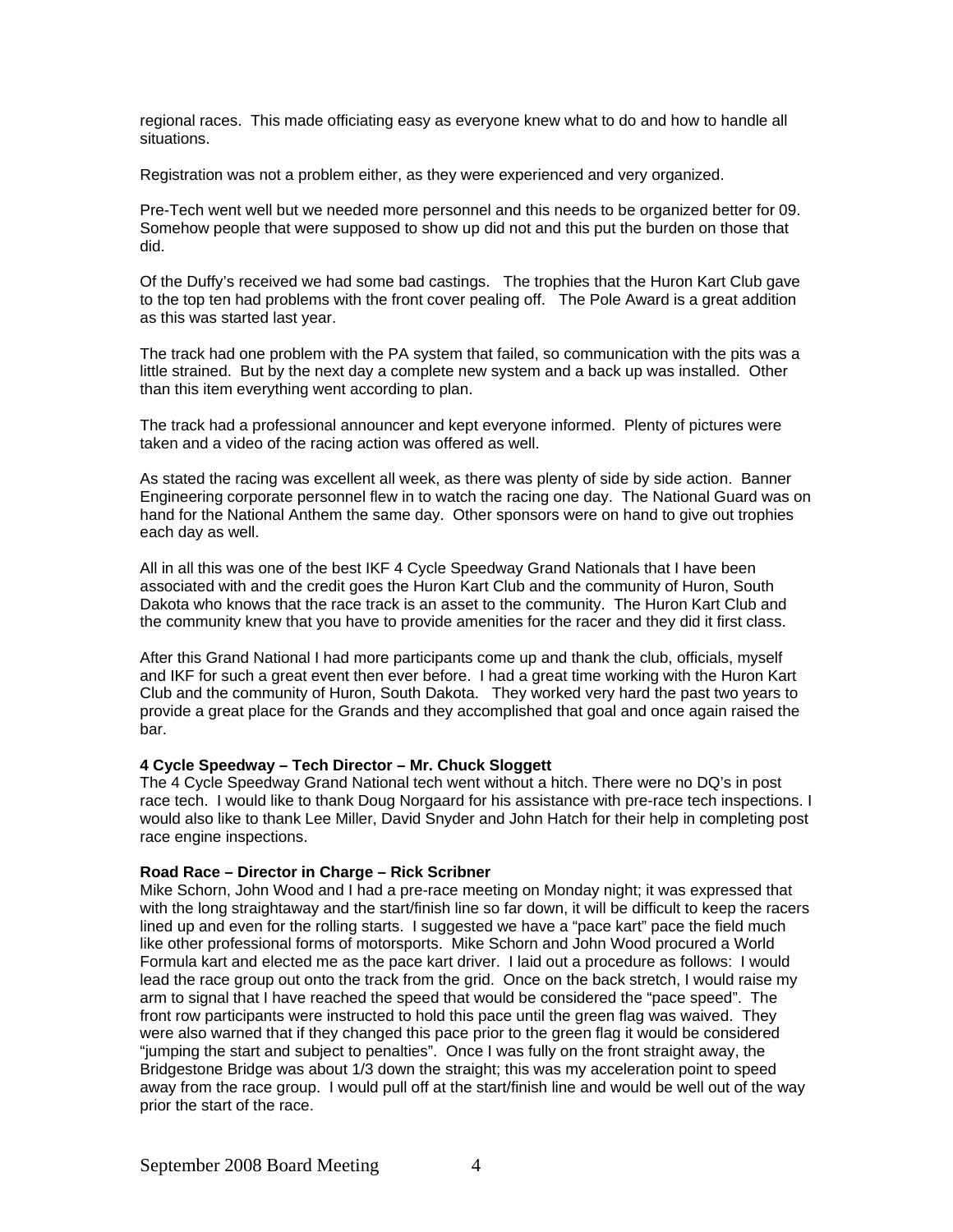regional races. This made officiating easy as everyone knew what to do and how to handle all situations.

Registration was not a problem either, as they were experienced and very organized.

Pre-Tech went well but we needed more personnel and this needs to be organized better for 09. Somehow people that were supposed to show up did not and this put the burden on those that did.

Of the Duffy's received we had some bad castings. The trophies that the Huron Kart Club gave to the top ten had problems with the front cover pealing off. The Pole Award is a great addition as this was started last year.

The track had one problem with the PA system that failed, so communication with the pits was a little strained. But by the next day a complete new system and a back up was installed. Other than this item everything went according to plan.

The track had a professional announcer and kept everyone informed. Plenty of pictures were taken and a video of the racing action was offered as well.

As stated the racing was excellent all week, as there was plenty of side by side action. Banner Engineering corporate personnel flew in to watch the racing one day. The National Guard was on hand for the National Anthem the same day. Other sponsors were on hand to give out trophies each day as well.

All in all this was one of the best IKF 4 Cycle Speedway Grand Nationals that I have been associated with and the credit goes the Huron Kart Club and the community of Huron, South Dakota who knows that the race track is an asset to the community. The Huron Kart Club and the community knew that you have to provide amenities for the racer and they did it first class.

After this Grand National I had more participants come up and thank the club, officials, myself and IKF for such a great event then ever before. I had a great time working with the Huron Kart Club and the community of Huron, South Dakota. They worked very hard the past two years to provide a great place for the Grands and they accomplished that goal and once again raised the bar.

#### **4 Cycle Speedway – Tech Director – Mr. Chuck Sloggett**

The 4 Cycle Speedway Grand National tech went without a hitch. There were no DQ's in post race tech. I would like to thank Doug Norgaard for his assistance with pre-race tech inspections. I would also like to thank Lee Miller, David Snyder and John Hatch for their help in completing post race engine inspections.

# **Road Race – Director in Charge – Rick Scribner**

Mike Schorn, John Wood and I had a pre-race meeting on Monday night; it was expressed that with the long straightaway and the start/finish line so far down, it will be difficult to keep the racers lined up and even for the rolling starts. I suggested we have a "pace kart" pace the field much like other professional forms of motorsports. Mike Schorn and John Wood procured a World Formula kart and elected me as the pace kart driver. I laid out a procedure as follows: I would lead the race group out onto the track from the grid. Once on the back stretch, I would raise my arm to signal that I have reached the speed that would be considered the "pace speed". The front row participants were instructed to hold this pace until the green flag was waived. They were also warned that if they changed this pace prior to the green flag it would be considered "jumping the start and subject to penalties". Once I was fully on the front straight away, the Bridgestone Bridge was about 1/3 down the straight; this was my acceleration point to speed away from the race group. I would pull off at the start/finish line and would be well out of the way prior the start of the race.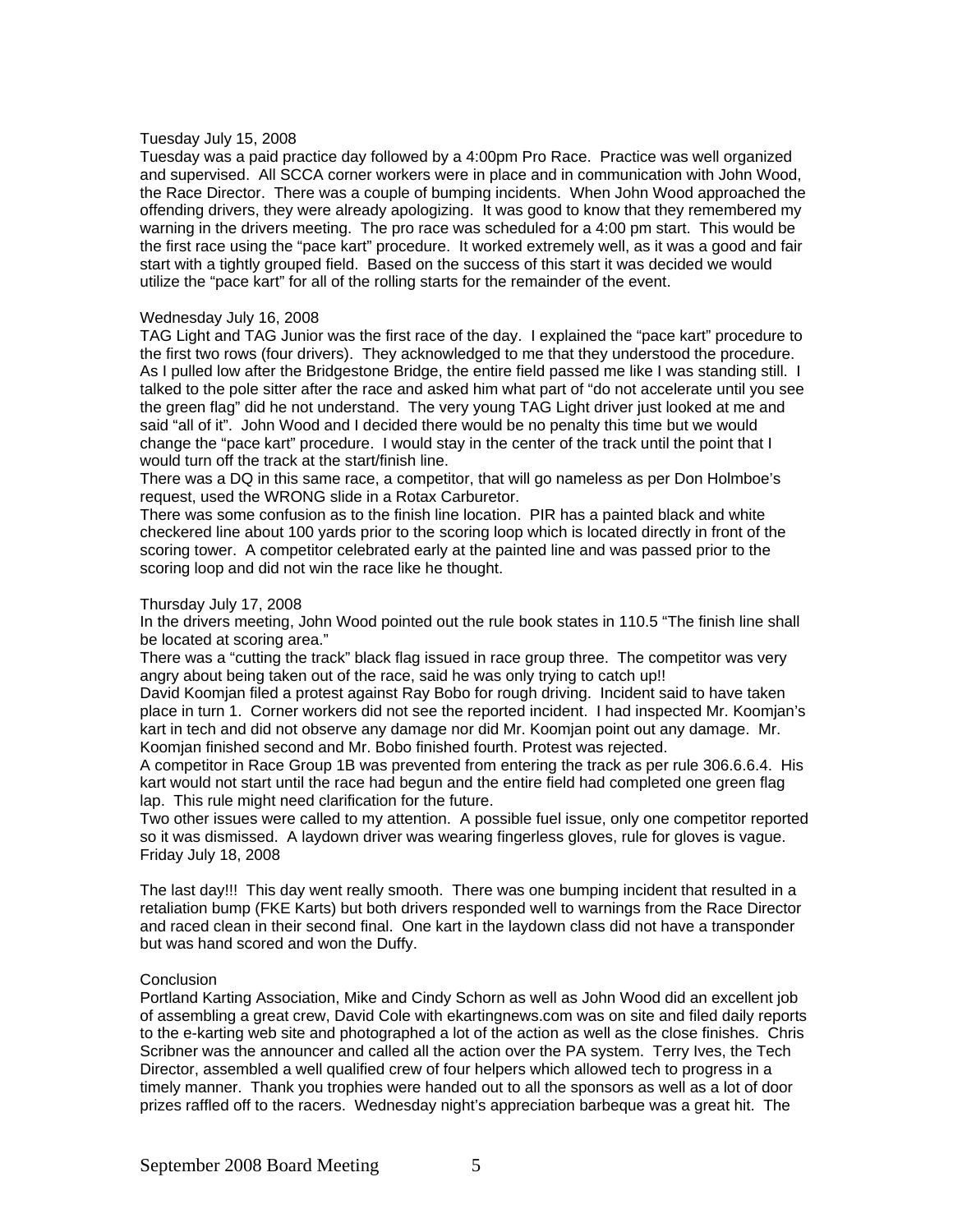#### Tuesday July 15, 2008

Tuesday was a paid practice day followed by a 4:00pm Pro Race. Practice was well organized and supervised. All SCCA corner workers were in place and in communication with John Wood, the Race Director. There was a couple of bumping incidents. When John Wood approached the offending drivers, they were already apologizing. It was good to know that they remembered my warning in the drivers meeting. The pro race was scheduled for a 4:00 pm start. This would be the first race using the "pace kart" procedure. It worked extremely well, as it was a good and fair start with a tightly grouped field. Based on the success of this start it was decided we would utilize the "pace kart" for all of the rolling starts for the remainder of the event.

#### Wednesday July 16, 2008

TAG Light and TAG Junior was the first race of the day. I explained the "pace kart" procedure to the first two rows (four drivers). They acknowledged to me that they understood the procedure. As I pulled low after the Bridgestone Bridge, the entire field passed me like I was standing still. I talked to the pole sitter after the race and asked him what part of "do not accelerate until you see the green flag" did he not understand. The very young TAG Light driver just looked at me and said "all of it". John Wood and I decided there would be no penalty this time but we would change the "pace kart" procedure. I would stay in the center of the track until the point that I would turn off the track at the start/finish line.

There was a DQ in this same race, a competitor, that will go nameless as per Don Holmboe's request, used the WRONG slide in a Rotax Carburetor.

There was some confusion as to the finish line location. PIR has a painted black and white checkered line about 100 yards prior to the scoring loop which is located directly in front of the scoring tower. A competitor celebrated early at the painted line and was passed prior to the scoring loop and did not win the race like he thought.

#### Thursday July 17, 2008

In the drivers meeting, John Wood pointed out the rule book states in 110.5 "The finish line shall be located at scoring area."

There was a "cutting the track" black flag issued in race group three. The competitor was very angry about being taken out of the race, said he was only trying to catch up!!

David Koomjan filed a protest against Ray Bobo for rough driving. Incident said to have taken place in turn 1. Corner workers did not see the reported incident. I had inspected Mr. Koomjan's kart in tech and did not observe any damage nor did Mr. Koomjan point out any damage. Mr. Koomjan finished second and Mr. Bobo finished fourth. Protest was rejected.

A competitor in Race Group 1B was prevented from entering the track as per rule 306.6.6.4. His kart would not start until the race had begun and the entire field had completed one green flag lap. This rule might need clarification for the future.

Two other issues were called to my attention. A possible fuel issue, only one competitor reported so it was dismissed. A laydown driver was wearing fingerless gloves, rule for gloves is vague. Friday July 18, 2008

The last day!!! This day went really smooth. There was one bumping incident that resulted in a retaliation bump (FKE Karts) but both drivers responded well to warnings from the Race Director and raced clean in their second final. One kart in the laydown class did not have a transponder but was hand scored and won the Duffy.

#### Conclusion

Portland Karting Association, Mike and Cindy Schorn as well as John Wood did an excellent job of assembling a great crew, David Cole with ekartingnews.com was on site and filed daily reports to the e-karting web site and photographed a lot of the action as well as the close finishes. Chris Scribner was the announcer and called all the action over the PA system. Terry Ives, the Tech Director, assembled a well qualified crew of four helpers which allowed tech to progress in a timely manner. Thank you trophies were handed out to all the sponsors as well as a lot of door prizes raffled off to the racers. Wednesday night's appreciation barbeque was a great hit. The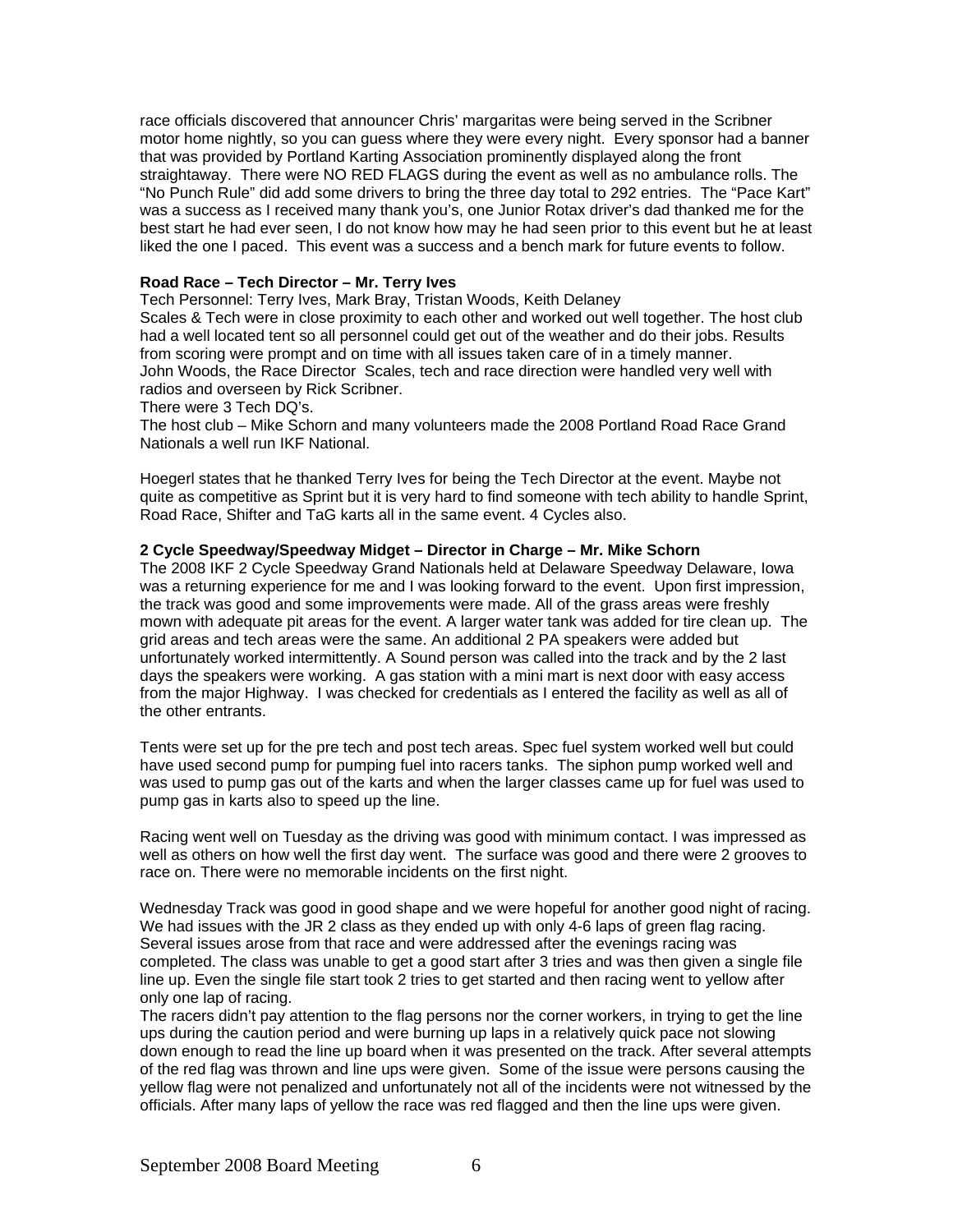race officials discovered that announcer Chris' margaritas were being served in the Scribner motor home nightly, so you can guess where they were every night. Every sponsor had a banner that was provided by Portland Karting Association prominently displayed along the front straightaway. There were NO RED FLAGS during the event as well as no ambulance rolls. The "No Punch Rule" did add some drivers to bring the three day total to 292 entries. The "Pace Kart" was a success as I received many thank you's, one Junior Rotax driver's dad thanked me for the best start he had ever seen, I do not know how may he had seen prior to this event but he at least liked the one I paced. This event was a success and a bench mark for future events to follow.

# **Road Race – Tech Director – Mr. Terry Ives**

Tech Personnel: Terry Ives, Mark Bray, Tristan Woods, Keith Delaney

Scales & Tech were in close proximity to each other and worked out well together. The host club had a well located tent so all personnel could get out of the weather and do their jobs. Results from scoring were prompt and on time with all issues taken care of in a timely manner. John Woods, the Race Director Scales, tech and race direction were handled very well with radios and overseen by Rick Scribner.

There were 3 Tech DQ's.

The host club – Mike Schorn and many volunteers made the 2008 Portland Road Race Grand Nationals a well run IKF National.

Hoegerl states that he thanked Terry Ives for being the Tech Director at the event. Maybe not quite as competitive as Sprint but it is very hard to find someone with tech ability to handle Sprint, Road Race, Shifter and TaG karts all in the same event. 4 Cycles also.

#### **2 Cycle Speedway/Speedway Midget – Director in Charge – Mr. Mike Schorn**

The 2008 IKF 2 Cycle Speedway Grand Nationals held at Delaware Speedway Delaware, Iowa was a returning experience for me and I was looking forward to the event. Upon first impression, the track was good and some improvements were made. All of the grass areas were freshly mown with adequate pit areas for the event. A larger water tank was added for tire clean up. The grid areas and tech areas were the same. An additional 2 PA speakers were added but unfortunately worked intermittently. A Sound person was called into the track and by the 2 last days the speakers were working. A gas station with a mini mart is next door with easy access from the major Highway. I was checked for credentials as I entered the facility as well as all of the other entrants.

Tents were set up for the pre tech and post tech areas. Spec fuel system worked well but could have used second pump for pumping fuel into racers tanks. The siphon pump worked well and was used to pump gas out of the karts and when the larger classes came up for fuel was used to pump gas in karts also to speed up the line.

Racing went well on Tuesday as the driving was good with minimum contact. I was impressed as well as others on how well the first day went. The surface was good and there were 2 grooves to race on. There were no memorable incidents on the first night.

Wednesday Track was good in good shape and we were hopeful for another good night of racing. We had issues with the JR 2 class as they ended up with only 4-6 laps of green flag racing. Several issues arose from that race and were addressed after the evenings racing was completed. The class was unable to get a good start after 3 tries and was then given a single file line up. Even the single file start took 2 tries to get started and then racing went to yellow after only one lap of racing.

The racers didn't pay attention to the flag persons nor the corner workers, in trying to get the line ups during the caution period and were burning up laps in a relatively quick pace not slowing down enough to read the line up board when it was presented on the track. After several attempts of the red flag was thrown and line ups were given. Some of the issue were persons causing the yellow flag were not penalized and unfortunately not all of the incidents were not witnessed by the officials. After many laps of yellow the race was red flagged and then the line ups were given.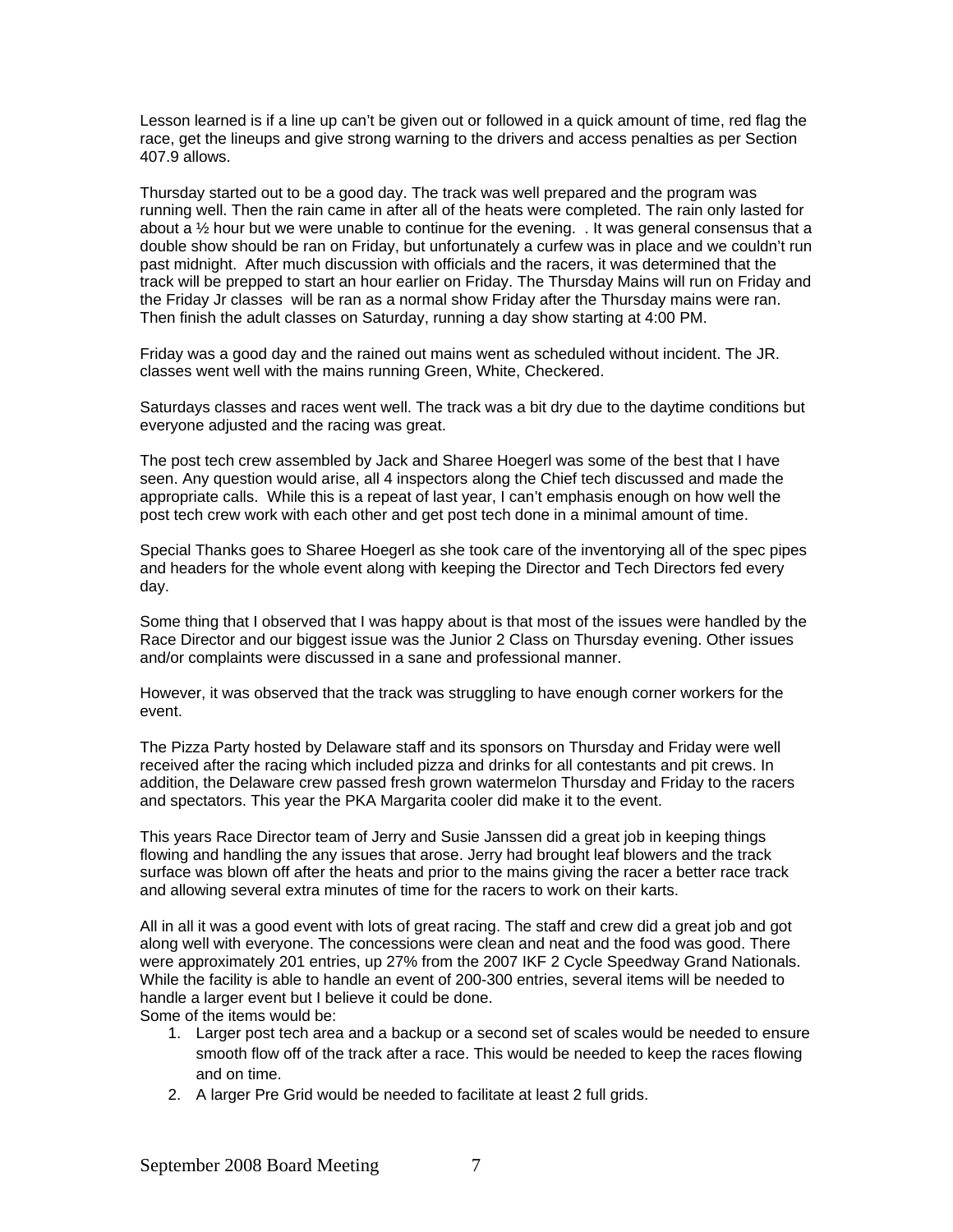Lesson learned is if a line up can't be given out or followed in a quick amount of time, red flag the race, get the lineups and give strong warning to the drivers and access penalties as per Section 407.9 allows.

Thursday started out to be a good day. The track was well prepared and the program was running well. Then the rain came in after all of the heats were completed. The rain only lasted for about a ½ hour but we were unable to continue for the evening. . It was general consensus that a double show should be ran on Friday, but unfortunately a curfew was in place and we couldn't run past midnight. After much discussion with officials and the racers, it was determined that the track will be prepped to start an hour earlier on Friday. The Thursday Mains will run on Friday and the Friday Jr classes will be ran as a normal show Friday after the Thursday mains were ran. Then finish the adult classes on Saturday, running a day show starting at 4:00 PM.

Friday was a good day and the rained out mains went as scheduled without incident. The JR. classes went well with the mains running Green, White, Checkered.

Saturdays classes and races went well. The track was a bit dry due to the daytime conditions but everyone adjusted and the racing was great.

The post tech crew assembled by Jack and Sharee Hoegerl was some of the best that I have seen. Any question would arise, all 4 inspectors along the Chief tech discussed and made the appropriate calls. While this is a repeat of last year, I can't emphasis enough on how well the post tech crew work with each other and get post tech done in a minimal amount of time.

Special Thanks goes to Sharee Hoegerl as she took care of the inventorying all of the spec pipes and headers for the whole event along with keeping the Director and Tech Directors fed every day.

Some thing that I observed that I was happy about is that most of the issues were handled by the Race Director and our biggest issue was the Junior 2 Class on Thursday evening. Other issues and/or complaints were discussed in a sane and professional manner.

However, it was observed that the track was struggling to have enough corner workers for the event.

The Pizza Party hosted by Delaware staff and its sponsors on Thursday and Friday were well received after the racing which included pizza and drinks for all contestants and pit crews. In addition, the Delaware crew passed fresh grown watermelon Thursday and Friday to the racers and spectators. This year the PKA Margarita cooler did make it to the event.

This years Race Director team of Jerry and Susie Janssen did a great job in keeping things flowing and handling the any issues that arose. Jerry had brought leaf blowers and the track surface was blown off after the heats and prior to the mains giving the racer a better race track and allowing several extra minutes of time for the racers to work on their karts.

All in all it was a good event with lots of great racing. The staff and crew did a great job and got along well with everyone. The concessions were clean and neat and the food was good. There were approximately 201 entries, up 27% from the 2007 IKF 2 Cycle Speedway Grand Nationals. While the facility is able to handle an event of 200-300 entries, several items will be needed to handle a larger event but I believe it could be done. Some of the items would be:

- 1. Larger post tech area and a backup or a second set of scales would be needed to ensure smooth flow off of the track after a race. This would be needed to keep the races flowing and on time.
- 2. A larger Pre Grid would be needed to facilitate at least 2 full grids.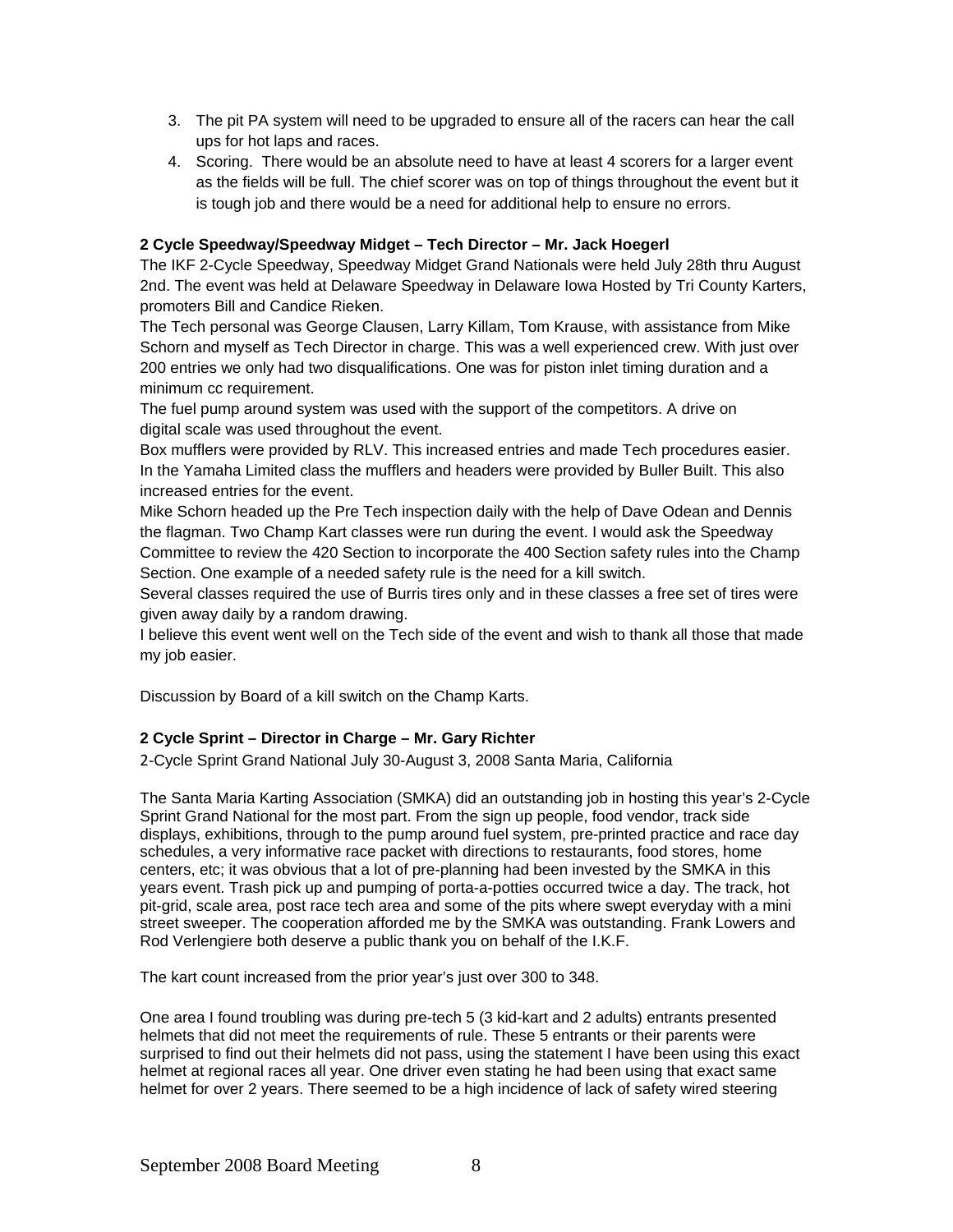- 3. The pit PA system will need to be upgraded to ensure all of the racers can hear the call ups for hot laps and races.
- 4. Scoring. There would be an absolute need to have at least 4 scorers for a larger event as the fields will be full. The chief scorer was on top of things throughout the event but it is tough job and there would be a need for additional help to ensure no errors.

# **2 Cycle Speedway/Speedway Midget – Tech Director – Mr. Jack Hoegerl**

The IKF 2-Cycle Speedway, Speedway Midget Grand Nationals were held July 28th thru August 2nd. The event was held at Delaware Speedway in Delaware Iowa Hosted by Tri County Karters, promoters Bill and Candice Rieken.

The Tech personal was George Clausen, Larry Killam, Tom Krause, with assistance from Mike Schorn and myself as Tech Director in charge. This was a well experienced crew. With just over 200 entries we only had two disqualifications. One was for piston inlet timing duration and a minimum cc requirement.

The fuel pump around system was used with the support of the competitors. A drive on digital scale was used throughout the event.

Box mufflers were provided by RLV. This increased entries and made Tech procedures easier. In the Yamaha Limited class the mufflers and headers were provided by Buller Built. This also increased entries for the event.

Mike Schorn headed up the Pre Tech inspection daily with the help of Dave Odean and Dennis the flagman. Two Champ Kart classes were run during the event. I would ask the Speedway Committee to review the 420 Section to incorporate the 400 Section safety rules into the Champ Section. One example of a needed safety rule is the need for a kill switch.

Several classes required the use of Burris tires only and in these classes a free set of tires were given away daily by a random drawing.

I believe this event went well on the Tech side of the event and wish to thank all those that made my job easier.

Discussion by Board of a kill switch on the Champ Karts.

# **2 Cycle Sprint – Director in Charge – Mr. Gary Richter**

2-Cycle Sprint Grand National July 30-August 3, 2008 Santa Maria, California

The Santa Maria Karting Association (SMKA) did an outstanding job in hosting this year's 2-Cycle Sprint Grand National for the most part. From the sign up people, food vendor, track side displays, exhibitions, through to the pump around fuel system, pre-printed practice and race day schedules, a very informative race packet with directions to restaurants, food stores, home centers, etc; it was obvious that a lot of pre-planning had been invested by the SMKA in this years event. Trash pick up and pumping of porta-a-potties occurred twice a day. The track, hot pit-grid, scale area, post race tech area and some of the pits where swept everyday with a mini street sweeper. The cooperation afforded me by the SMKA was outstanding. Frank Lowers and Rod Verlengiere both deserve a public thank you on behalf of the I.K.F.

The kart count increased from the prior year's just over 300 to 348.

One area I found troubling was during pre-tech 5 (3 kid-kart and 2 adults) entrants presented helmets that did not meet the requirements of rule. These 5 entrants or their parents were surprised to find out their helmets did not pass, using the statement I have been using this exact helmet at regional races all year. One driver even stating he had been using that exact same helmet for over 2 years. There seemed to be a high incidence of lack of safety wired steering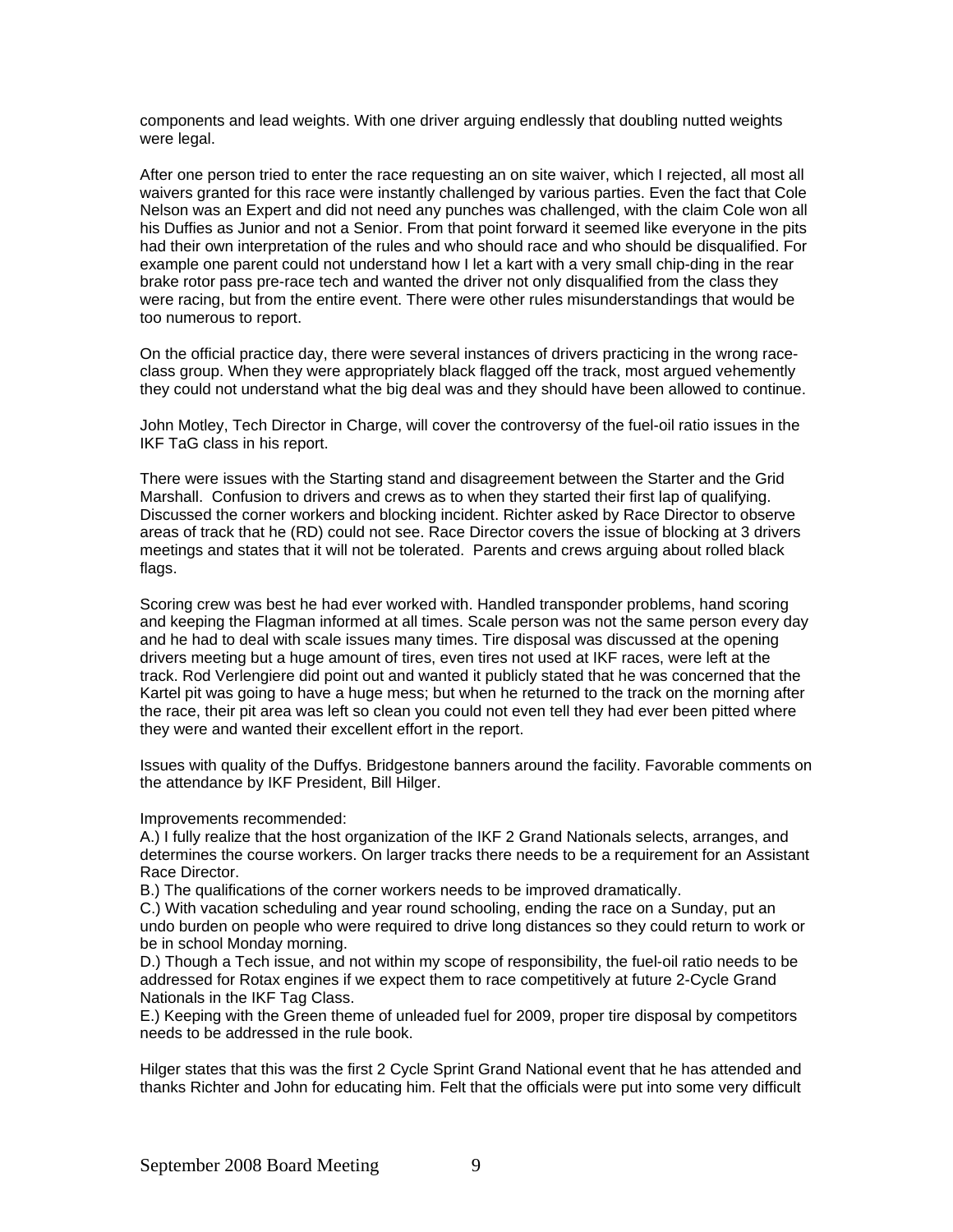components and lead weights. With one driver arguing endlessly that doubling nutted weights were legal.

After one person tried to enter the race requesting an on site waiver, which I rejected, all most all waivers granted for this race were instantly challenged by various parties. Even the fact that Cole Nelson was an Expert and did not need any punches was challenged, with the claim Cole won all his Duffies as Junior and not a Senior. From that point forward it seemed like everyone in the pits had their own interpretation of the rules and who should race and who should be disqualified. For example one parent could not understand how I let a kart with a very small chip-ding in the rear brake rotor pass pre-race tech and wanted the driver not only disqualified from the class they were racing, but from the entire event. There were other rules misunderstandings that would be too numerous to report.

On the official practice day, there were several instances of drivers practicing in the wrong raceclass group. When they were appropriately black flagged off the track, most argued vehemently they could not understand what the big deal was and they should have been allowed to continue.

John Motley, Tech Director in Charge, will cover the controversy of the fuel-oil ratio issues in the IKF TaG class in his report.

There were issues with the Starting stand and disagreement between the Starter and the Grid Marshall. Confusion to drivers and crews as to when they started their first lap of qualifying. Discussed the corner workers and blocking incident. Richter asked by Race Director to observe areas of track that he (RD) could not see. Race Director covers the issue of blocking at 3 drivers meetings and states that it will not be tolerated. Parents and crews arguing about rolled black flags.

Scoring crew was best he had ever worked with. Handled transponder problems, hand scoring and keeping the Flagman informed at all times. Scale person was not the same person every day and he had to deal with scale issues many times. Tire disposal was discussed at the opening drivers meeting but a huge amount of tires, even tires not used at IKF races, were left at the track. Rod Verlengiere did point out and wanted it publicly stated that he was concerned that the Kartel pit was going to have a huge mess; but when he returned to the track on the morning after the race, their pit area was left so clean you could not even tell they had ever been pitted where they were and wanted their excellent effort in the report.

Issues with quality of the Duffys. Bridgestone banners around the facility. Favorable comments on the attendance by IKF President, Bill Hilger.

Improvements recommended:

A.) I fully realize that the host organization of the IKF 2 Grand Nationals selects, arranges, and determines the course workers. On larger tracks there needs to be a requirement for an Assistant Race Director.

B.) The qualifications of the corner workers needs to be improved dramatically.

C.) With vacation scheduling and year round schooling, ending the race on a Sunday, put an undo burden on people who were required to drive long distances so they could return to work or be in school Monday morning.

D.) Though a Tech issue, and not within my scope of responsibility, the fuel-oil ratio needs to be addressed for Rotax engines if we expect them to race competitively at future 2-Cycle Grand Nationals in the IKF Tag Class.

E.) Keeping with the Green theme of unleaded fuel for 2009, proper tire disposal by competitors needs to be addressed in the rule book.

Hilger states that this was the first 2 Cycle Sprint Grand National event that he has attended and thanks Richter and John for educating him. Felt that the officials were put into some very difficult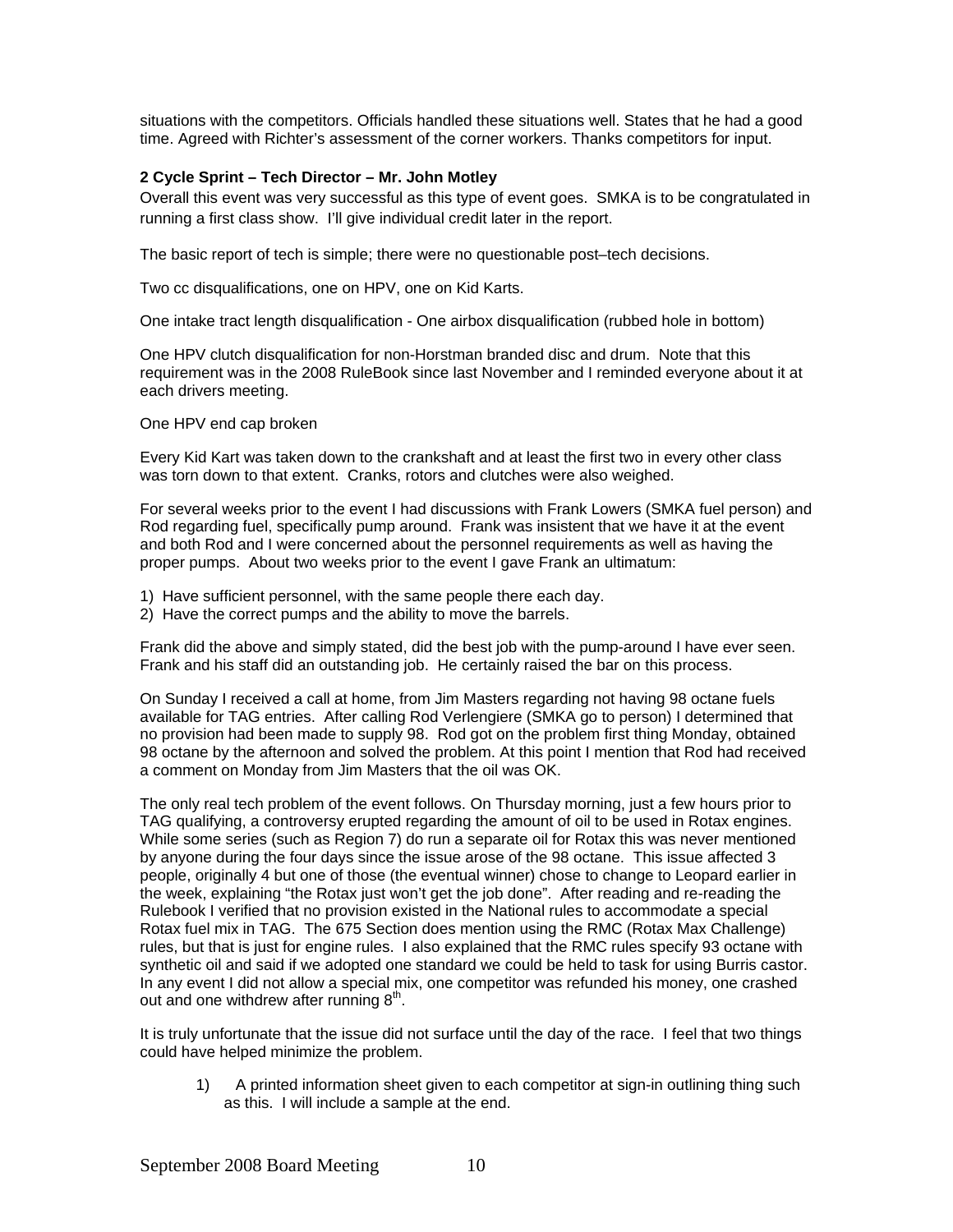situations with the competitors. Officials handled these situations well. States that he had a good time. Agreed with Richter's assessment of the corner workers. Thanks competitors for input.

# **2 Cycle Sprint – Tech Director – Mr. John Motley**

Overall this event was very successful as this type of event goes. SMKA is to be congratulated in running a first class show. I'll give individual credit later in the report.

The basic report of tech is simple; there were no questionable post–tech decisions.

Two cc disqualifications, one on HPV, one on Kid Karts.

One intake tract length disqualification - One airbox disqualification (rubbed hole in bottom)

One HPV clutch disqualification for non-Horstman branded disc and drum. Note that this requirement was in the 2008 RuleBook since last November and I reminded everyone about it at each drivers meeting.

One HPV end cap broken

Every Kid Kart was taken down to the crankshaft and at least the first two in every other class was torn down to that extent. Cranks, rotors and clutches were also weighed.

For several weeks prior to the event I had discussions with Frank Lowers (SMKA fuel person) and Rod regarding fuel, specifically pump around. Frank was insistent that we have it at the event and both Rod and I were concerned about the personnel requirements as well as having the proper pumps. About two weeks prior to the event I gave Frank an ultimatum:

- 1) Have sufficient personnel, with the same people there each day.
- 2) Have the correct pumps and the ability to move the barrels.

Frank did the above and simply stated, did the best job with the pump-around I have ever seen. Frank and his staff did an outstanding job. He certainly raised the bar on this process.

On Sunday I received a call at home, from Jim Masters regarding not having 98 octane fuels available for TAG entries. After calling Rod Verlengiere (SMKA go to person) I determined that no provision had been made to supply 98. Rod got on the problem first thing Monday, obtained 98 octane by the afternoon and solved the problem. At this point I mention that Rod had received a comment on Monday from Jim Masters that the oil was OK.

The only real tech problem of the event follows. On Thursday morning, just a few hours prior to TAG qualifying, a controversy erupted regarding the amount of oil to be used in Rotax engines. While some series (such as Region 7) do run a separate oil for Rotax this was never mentioned by anyone during the four days since the issue arose of the 98 octane. This issue affected 3 people, originally 4 but one of those (the eventual winner) chose to change to Leopard earlier in the week, explaining "the Rotax just won't get the job done". After reading and re-reading the Rulebook I verified that no provision existed in the National rules to accommodate a special Rotax fuel mix in TAG. The 675 Section does mention using the RMC (Rotax Max Challenge) rules, but that is just for engine rules. I also explained that the RMC rules specify 93 octane with synthetic oil and said if we adopted one standard we could be held to task for using Burris castor. In any event I did not allow a special mix, one competitor was refunded his money, one crashed out and one withdrew after running  $8<sup>th</sup>$ .

It is truly unfortunate that the issue did not surface until the day of the race. I feel that two things could have helped minimize the problem.

1) A printed information sheet given to each competitor at sign-in outlining thing such as this. I will include a sample at the end.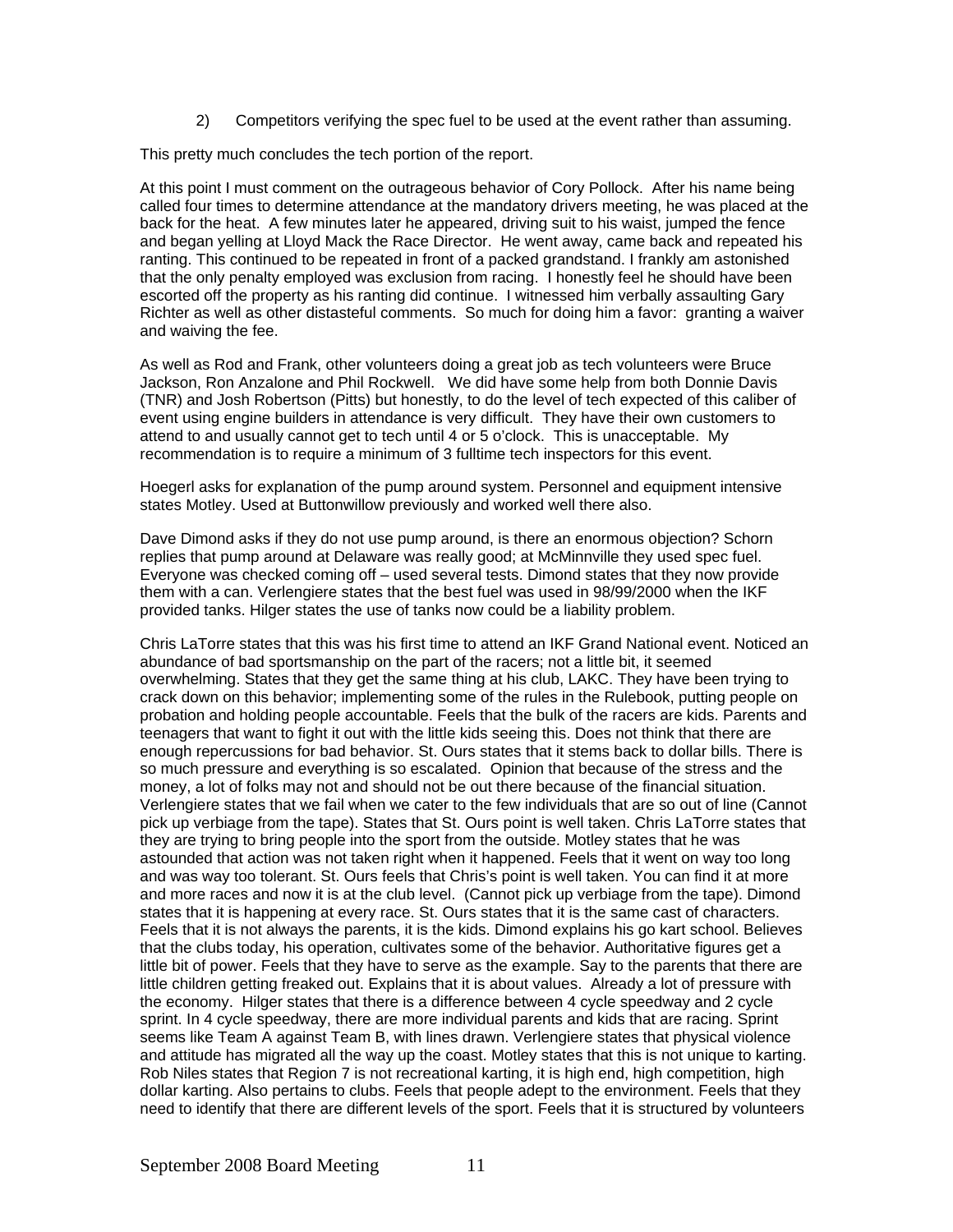2) Competitors verifying the spec fuel to be used at the event rather than assuming.

This pretty much concludes the tech portion of the report.

At this point I must comment on the outrageous behavior of Cory Pollock. After his name being called four times to determine attendance at the mandatory drivers meeting, he was placed at the back for the heat. A few minutes later he appeared, driving suit to his waist, jumped the fence and began yelling at Lloyd Mack the Race Director. He went away, came back and repeated his ranting. This continued to be repeated in front of a packed grandstand. I frankly am astonished that the only penalty employed was exclusion from racing. I honestly feel he should have been escorted off the property as his ranting did continue. I witnessed him verbally assaulting Gary Richter as well as other distasteful comments. So much for doing him a favor: granting a waiver and waiving the fee.

As well as Rod and Frank, other volunteers doing a great job as tech volunteers were Bruce Jackson, Ron Anzalone and Phil Rockwell. We did have some help from both Donnie Davis (TNR) and Josh Robertson (Pitts) but honestly, to do the level of tech expected of this caliber of event using engine builders in attendance is very difficult. They have their own customers to attend to and usually cannot get to tech until 4 or 5 o'clock. This is unacceptable. My recommendation is to require a minimum of 3 fulltime tech inspectors for this event.

Hoegerl asks for explanation of the pump around system. Personnel and equipment intensive states Motley. Used at Buttonwillow previously and worked well there also.

Dave Dimond asks if they do not use pump around, is there an enormous objection? Schorn replies that pump around at Delaware was really good; at McMinnville they used spec fuel. Everyone was checked coming off – used several tests. Dimond states that they now provide them with a can. Verlengiere states that the best fuel was used in 98/99/2000 when the IKF provided tanks. Hilger states the use of tanks now could be a liability problem.

Chris LaTorre states that this was his first time to attend an IKF Grand National event. Noticed an abundance of bad sportsmanship on the part of the racers; not a little bit, it seemed overwhelming. States that they get the same thing at his club, LAKC. They have been trying to crack down on this behavior; implementing some of the rules in the Rulebook, putting people on probation and holding people accountable. Feels that the bulk of the racers are kids. Parents and teenagers that want to fight it out with the little kids seeing this. Does not think that there are enough repercussions for bad behavior. St. Ours states that it stems back to dollar bills. There is so much pressure and everything is so escalated. Opinion that because of the stress and the money, a lot of folks may not and should not be out there because of the financial situation. Verlengiere states that we fail when we cater to the few individuals that are so out of line (Cannot pick up verbiage from the tape). States that St. Ours point is well taken. Chris LaTorre states that they are trying to bring people into the sport from the outside. Motley states that he was astounded that action was not taken right when it happened. Feels that it went on way too long and was way too tolerant. St. Ours feels that Chris's point is well taken. You can find it at more and more races and now it is at the club level. (Cannot pick up verbiage from the tape). Dimond states that it is happening at every race. St. Ours states that it is the same cast of characters. Feels that it is not always the parents, it is the kids. Dimond explains his go kart school. Believes that the clubs today, his operation, cultivates some of the behavior. Authoritative figures get a little bit of power. Feels that they have to serve as the example. Say to the parents that there are little children getting freaked out. Explains that it is about values. Already a lot of pressure with the economy. Hilger states that there is a difference between 4 cycle speedway and 2 cycle sprint. In 4 cycle speedway, there are more individual parents and kids that are racing. Sprint seems like Team A against Team B, with lines drawn. Verlengiere states that physical violence and attitude has migrated all the way up the coast. Motley states that this is not unique to karting. Rob Niles states that Region 7 is not recreational karting, it is high end, high competition, high dollar karting. Also pertains to clubs. Feels that people adept to the environment. Feels that they need to identify that there are different levels of the sport. Feels that it is structured by volunteers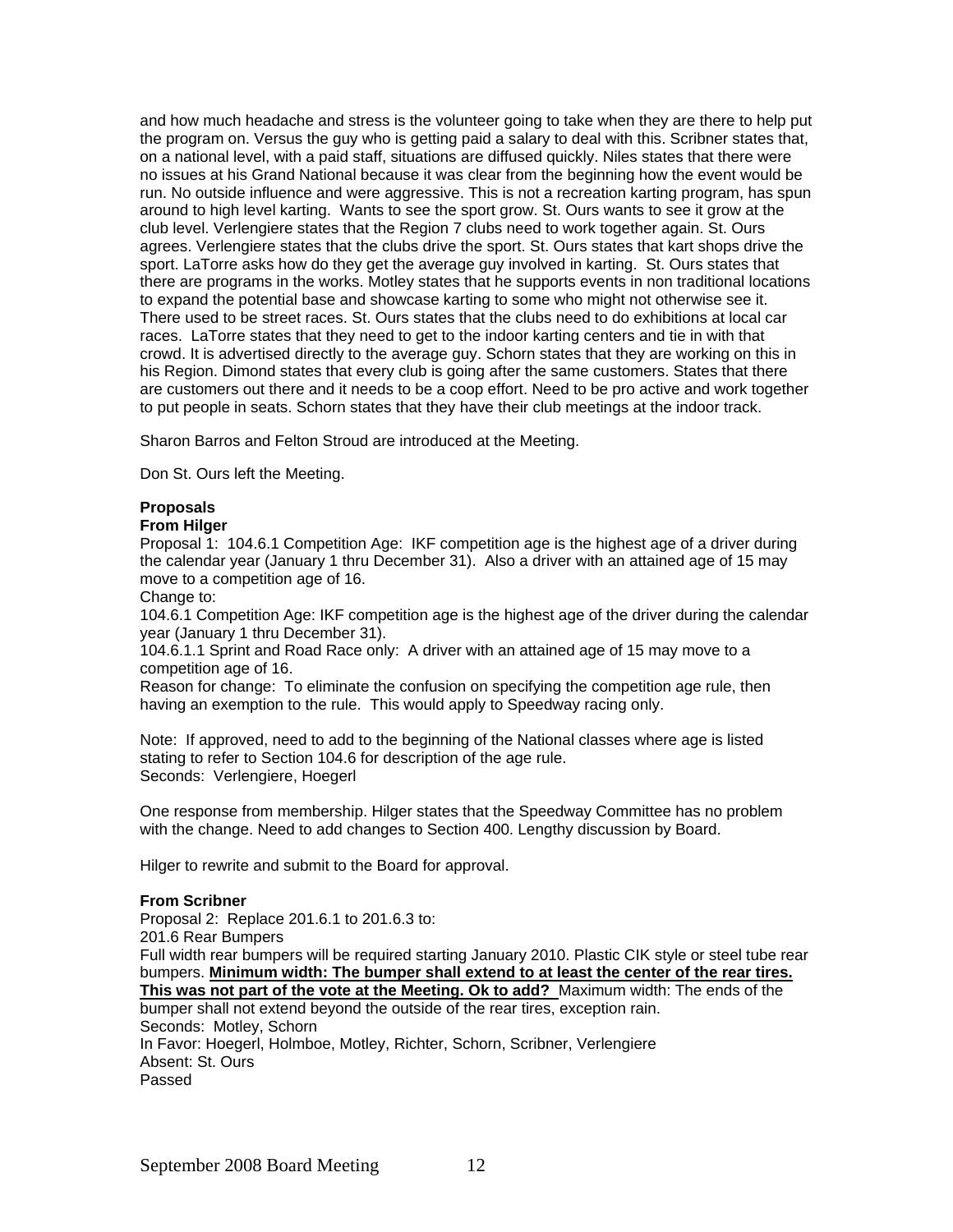and how much headache and stress is the volunteer going to take when they are there to help put the program on. Versus the guy who is getting paid a salary to deal with this. Scribner states that, on a national level, with a paid staff, situations are diffused quickly. Niles states that there were no issues at his Grand National because it was clear from the beginning how the event would be run. No outside influence and were aggressive. This is not a recreation karting program, has spun around to high level karting. Wants to see the sport grow. St. Ours wants to see it grow at the club level. Verlengiere states that the Region 7 clubs need to work together again. St. Ours agrees. Verlengiere states that the clubs drive the sport. St. Ours states that kart shops drive the sport. LaTorre asks how do they get the average guy involved in karting. St. Ours states that there are programs in the works. Motley states that he supports events in non traditional locations to expand the potential base and showcase karting to some who might not otherwise see it. There used to be street races. St. Ours states that the clubs need to do exhibitions at local car races. LaTorre states that they need to get to the indoor karting centers and tie in with that crowd. It is advertised directly to the average guy. Schorn states that they are working on this in his Region. Dimond states that every club is going after the same customers. States that there are customers out there and it needs to be a coop effort. Need to be pro active and work together to put people in seats. Schorn states that they have their club meetings at the indoor track.

Sharon Barros and Felton Stroud are introduced at the Meeting.

Don St. Ours left the Meeting.

# **Proposals**

#### **From Hilger**

Proposal 1: 104.6.1 Competition Age: IKF competition age is the highest age of a driver during the calendar year (January 1 thru December 31). Also a driver with an attained age of 15 may move to a competition age of 16.

Change to:

104.6.1 Competition Age: IKF competition age is the highest age of the driver during the calendar year (January 1 thru December 31).

104.6.1.1 Sprint and Road Race only: A driver with an attained age of 15 may move to a competition age of 16.

Reason for change: To eliminate the confusion on specifying the competition age rule, then having an exemption to the rule. This would apply to Speedway racing only.

Note: If approved, need to add to the beginning of the National classes where age is listed stating to refer to Section 104.6 for description of the age rule. Seconds: Verlengiere, Hoegerl

One response from membership. Hilger states that the Speedway Committee has no problem with the change. Need to add changes to Section 400. Lengthy discussion by Board.

Hilger to rewrite and submit to the Board for approval.

#### **From Scribner**

Proposal 2: Replace 201.6.1 to 201.6.3 to: 201.6 Rear Bumpers Full width rear bumpers will be required starting January 2010. Plastic CIK style or steel tube rear bumpers. **Minimum width: The bumper shall extend to at least the center of the rear tires. This was not part of the vote at the Meeting. Ok to add?** Maximum width: The ends of the bumper shall not extend beyond the outside of the rear tires, exception rain. Seconds: Motley, Schorn In Favor: Hoegerl, Holmboe, Motley, Richter, Schorn, Scribner, Verlengiere Absent: St. Ours Passed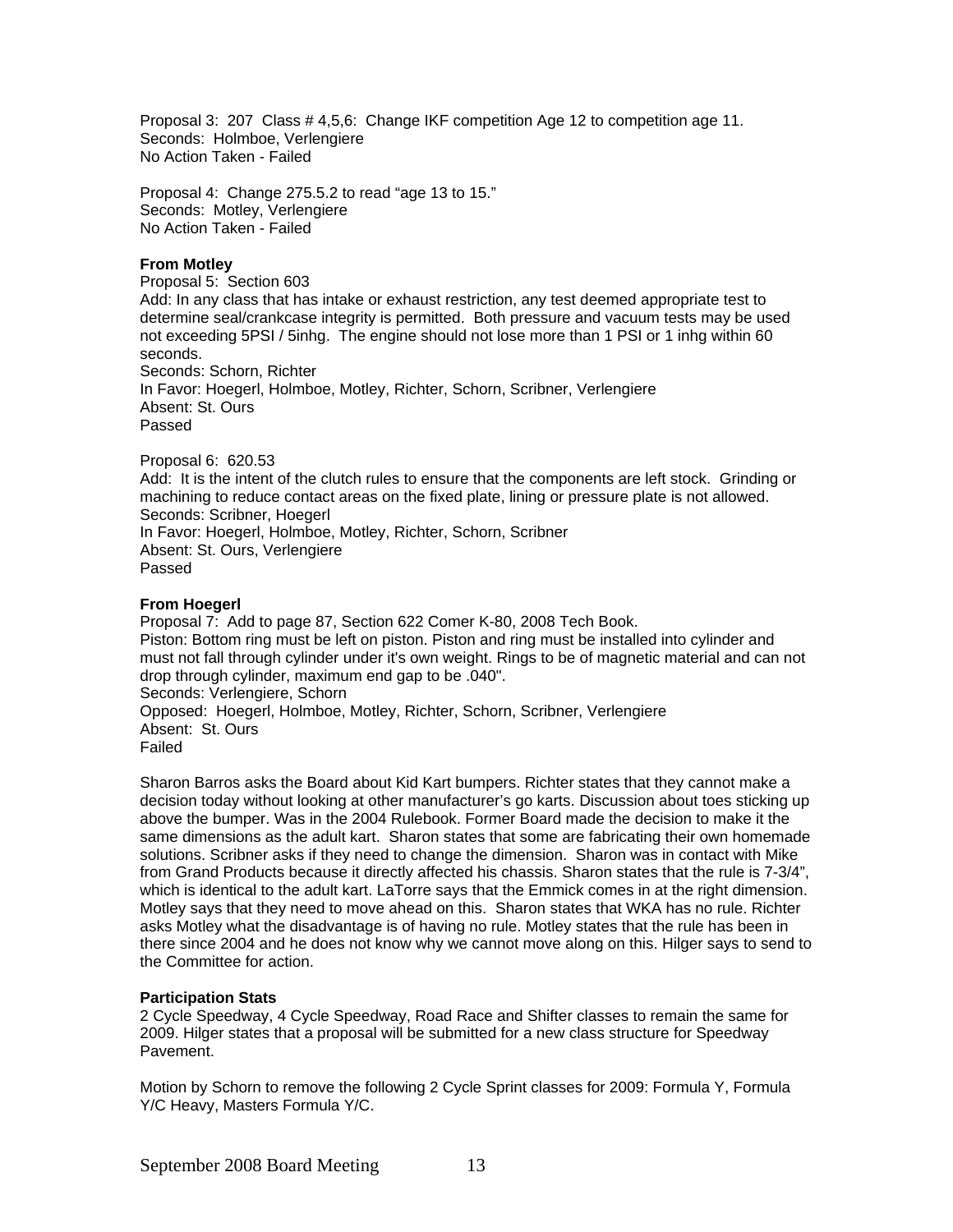Proposal 3: 207 Class # 4,5,6: Change IKF competition Age 12 to competition age 11. Seconds: Holmboe, Verlengiere No Action Taken - Failed

Proposal 4: Change 275.5.2 to read "age 13 to 15." Seconds: Motley, Verlengiere No Action Taken - Failed

#### **From Motley**

Proposal 5: Section 603 Add: In any class that has intake or exhaust restriction, any test deemed appropriate test to determine seal/crankcase integrity is permitted. Both pressure and vacuum tests may be used not exceeding 5PSI / 5inhg. The engine should not lose more than 1 PSI or 1 inhg within 60 seconds. Seconds: Schorn, Richter In Favor: Hoegerl, Holmboe, Motley, Richter, Schorn, Scribner, Verlengiere Absent: St. Ours Passed

Proposal 6: 620.53 Add: It is the intent of the clutch rules to ensure that the components are left stock. Grinding or machining to reduce contact areas on the fixed plate, lining or pressure plate is not allowed. Seconds: Scribner, Hoegerl In Favor: Hoegerl, Holmboe, Motley, Richter, Schorn, Scribner Absent: St. Ours, Verlengiere Passed

# **From Hoegerl**

Proposal 7: Add to page 87, Section 622 Comer K-80, 2008 Tech Book. Piston: Bottom ring must be left on piston. Piston and ring must be installed into cylinder and must not fall through cylinder under it's own weight. Rings to be of magnetic material and can not drop through cylinder, maximum end gap to be .040". Seconds: Verlengiere, Schorn Opposed: Hoegerl, Holmboe, Motley, Richter, Schorn, Scribner, Verlengiere Absent: St. Ours Failed

Sharon Barros asks the Board about Kid Kart bumpers. Richter states that they cannot make a decision today without looking at other manufacturer's go karts. Discussion about toes sticking up above the bumper. Was in the 2004 Rulebook. Former Board made the decision to make it the same dimensions as the adult kart. Sharon states that some are fabricating their own homemade solutions. Scribner asks if they need to change the dimension. Sharon was in contact with Mike from Grand Products because it directly affected his chassis. Sharon states that the rule is 7-3/4", which is identical to the adult kart. LaTorre says that the Emmick comes in at the right dimension. Motley says that they need to move ahead on this. Sharon states that WKA has no rule. Richter asks Motley what the disadvantage is of having no rule. Motley states that the rule has been in there since 2004 and he does not know why we cannot move along on this. Hilger says to send to the Committee for action.

#### **Participation Stats**

2 Cycle Speedway, 4 Cycle Speedway, Road Race and Shifter classes to remain the same for 2009. Hilger states that a proposal will be submitted for a new class structure for Speedway Pavement.

Motion by Schorn to remove the following 2 Cycle Sprint classes for 2009: Formula Y, Formula Y/C Heavy, Masters Formula Y/C.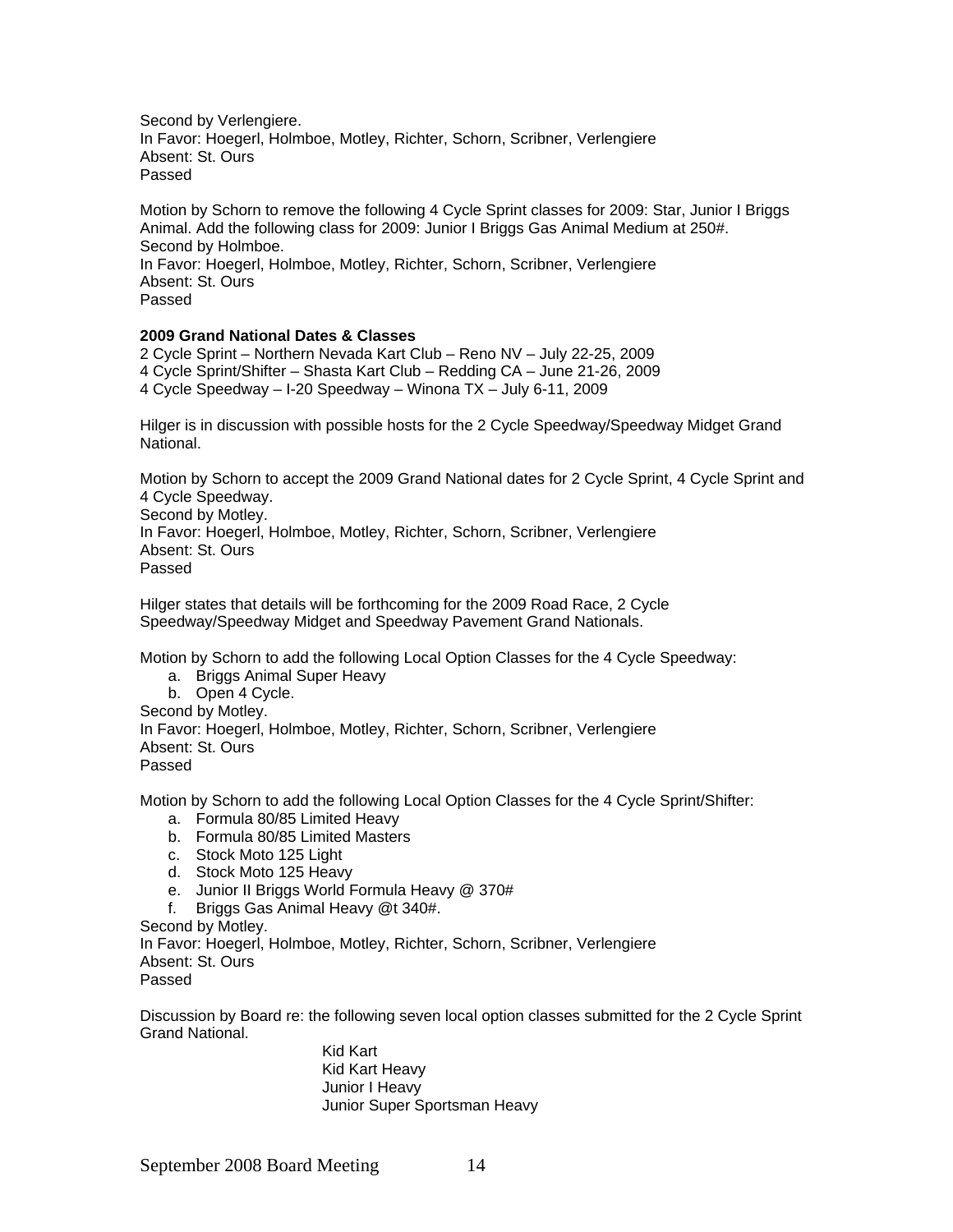Second by Verlengiere. In Favor: Hoegerl, Holmboe, Motley, Richter, Schorn, Scribner, Verlengiere Absent: St. Ours Passed

Motion by Schorn to remove the following 4 Cycle Sprint classes for 2009: Star, Junior I Briggs Animal. Add the following class for 2009: Junior I Briggs Gas Animal Medium at 250#. Second by Holmboe. In Favor: Hoegerl, Holmboe, Motley, Richter, Schorn, Scribner, Verlengiere Absent: St. Ours Passed

# **2009 Grand National Dates & Classes**

2 Cycle Sprint – Northern Nevada Kart Club – Reno NV – July 22-25, 2009 4 Cycle Sprint/Shifter – Shasta Kart Club – Redding CA – June 21-26, 2009 4 Cycle Speedway – I-20 Speedway – Winona TX – July 6-11, 2009

Hilger is in discussion with possible hosts for the 2 Cycle Speedway/Speedway Midget Grand National.

Motion by Schorn to accept the 2009 Grand National dates for 2 Cycle Sprint, 4 Cycle Sprint and 4 Cycle Speedway.

Second by Motley. In Favor: Hoegerl, Holmboe, Motley, Richter, Schorn, Scribner, Verlengiere Absent: St. Ours Passed

Hilger states that details will be forthcoming for the 2009 Road Race, 2 Cycle Speedway/Speedway Midget and Speedway Pavement Grand Nationals.

Motion by Schorn to add the following Local Option Classes for the 4 Cycle Speedway:

- a. Briggs Animal Super Heavy
- b. Open 4 Cycle.

Second by Motley.

In Favor: Hoegerl, Holmboe, Motley, Richter, Schorn, Scribner, Verlengiere Absent: St. Ours

Passed

Motion by Schorn to add the following Local Option Classes for the 4 Cycle Sprint/Shifter:

a. Formula 80/85 Limited Heavy

- b. Formula 80/85 Limited Masters
- c. Stock Moto 125 Light
- d. Stock Moto 125 Heavy
- e. Junior II Briggs World Formula Heavy @ 370#
- f. Briggs Gas Animal Heavy @t 340#.

Second by Motley.

In Favor: Hoegerl, Holmboe, Motley, Richter, Schorn, Scribner, Verlengiere Absent: St. Ours

Passed

Discussion by Board re: the following seven local option classes submitted for the 2 Cycle Sprint Grand National.

> Kid Kart Kid Kart Heavy Junior I Heavy Junior Super Sportsman Heavy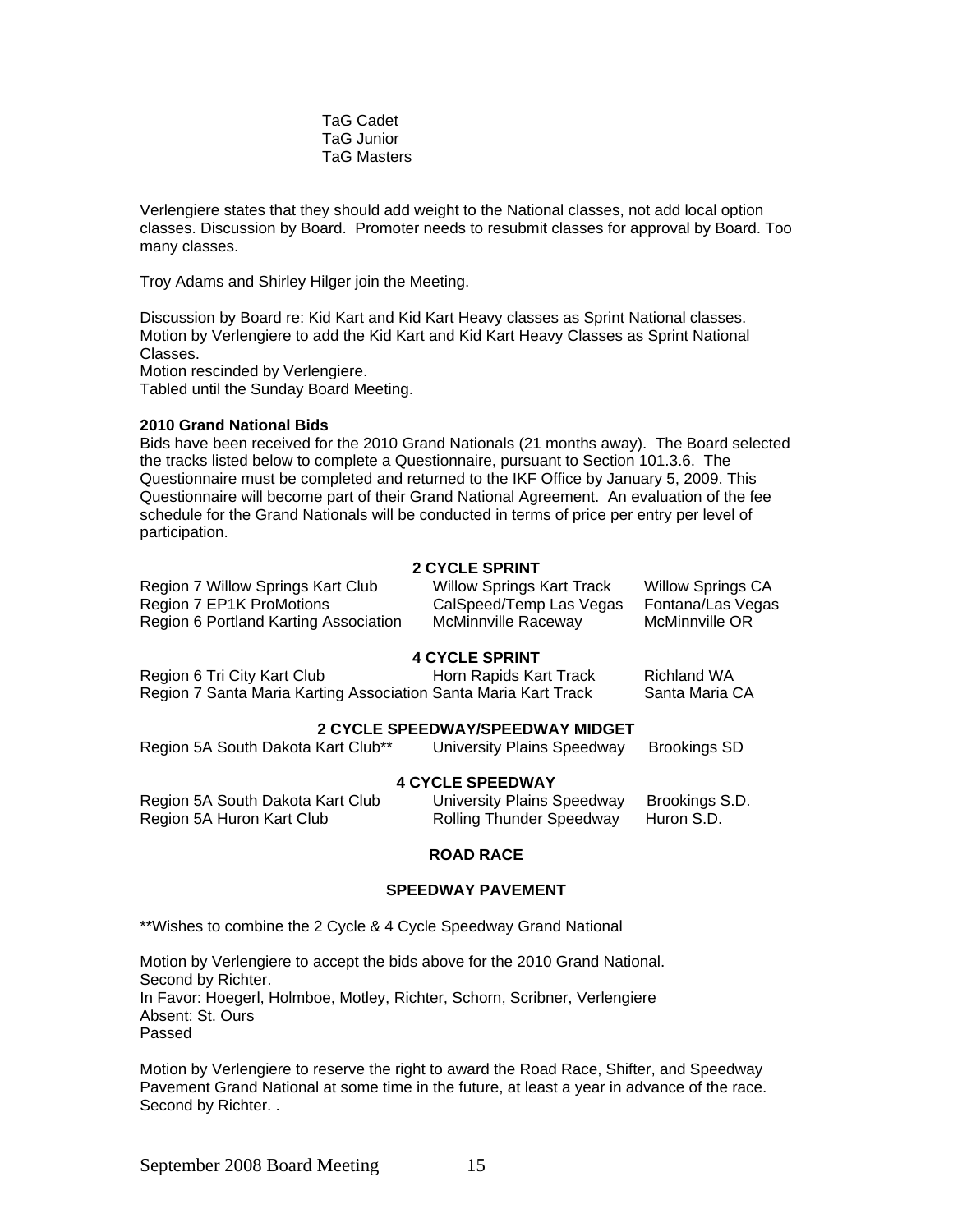TaG Cadet TaG Junior TaG Masters

Verlengiere states that they should add weight to the National classes, not add local option classes. Discussion by Board. Promoter needs to resubmit classes for approval by Board. Too many classes.

Troy Adams and Shirley Hilger join the Meeting.

Discussion by Board re: Kid Kart and Kid Kart Heavy classes as Sprint National classes. Motion by Verlengiere to add the Kid Kart and Kid Kart Heavy Classes as Sprint National Classes.

Motion rescinded by Verlengiere. Tabled until the Sunday Board Meeting.

#### **2010 Grand National Bids**

Bids have been received for the 2010 Grand Nationals (21 months away). The Board selected the tracks listed below to complete a Questionnaire, pursuant to Section 101.3.6. The Questionnaire must be completed and returned to the IKF Office by January 5, 2009. This Questionnaire will become part of their Grand National Agreement. An evaluation of the fee schedule for the Grand Nationals will be conducted in terms of price per entry per level of participation.

# **2 CYCLE SPRINT**

| Region 7 Willow Springs Kart Club     | <b>Willow Springs Kart Track</b> | <b>Willow Springs CA</b> |
|---------------------------------------|----------------------------------|--------------------------|
| Region 7 EP1K ProMotions              | CalSpeed/Temp Las Vegas          | Fontana/Las Vegas        |
| Region 6 Portland Karting Association | McMinnville Raceway              | McMinnville OR           |

# **4 CYCLE SPRINT**

|                                                                 | .                      |                |
|-----------------------------------------------------------------|------------------------|----------------|
| Region 6 Tri City Kart Club                                     | Horn Rapids Kart Track | Richland WA    |
| Region 7 Santa Maria Karting Association Santa Maria Kart Track |                        | Santa Maria CA |
|                                                                 |                        |                |

# **2 CYCLE SPEEDWAY/SPEEDWAY MIDGET**

| Region 5A South Dakota Kart Club** | University Plains Speedway      | <b>Brookings SD</b> |  |
|------------------------------------|---------------------------------|---------------------|--|
| <b>4 CYCLE SPEEDWAY</b>            |                                 |                     |  |
| Region 5A South Dakota Kart Club   | University Plains Speedway      | Brookings S.D.      |  |
| Region 5A Huron Kart Club          | <b>Rolling Thunder Speedway</b> | Huron S.D.          |  |

#### **ROAD RACE**

#### **SPEEDWAY PAVEMENT**

\*\*Wishes to combine the 2 Cycle & 4 Cycle Speedway Grand National

Motion by Verlengiere to accept the bids above for the 2010 Grand National. Second by Richter. In Favor: Hoegerl, Holmboe, Motley, Richter, Schorn, Scribner, Verlengiere Absent: St. Ours Passed

Motion by Verlengiere to reserve the right to award the Road Race, Shifter, and Speedway Pavement Grand National at some time in the future, at least a year in advance of the race. Second by Richter. .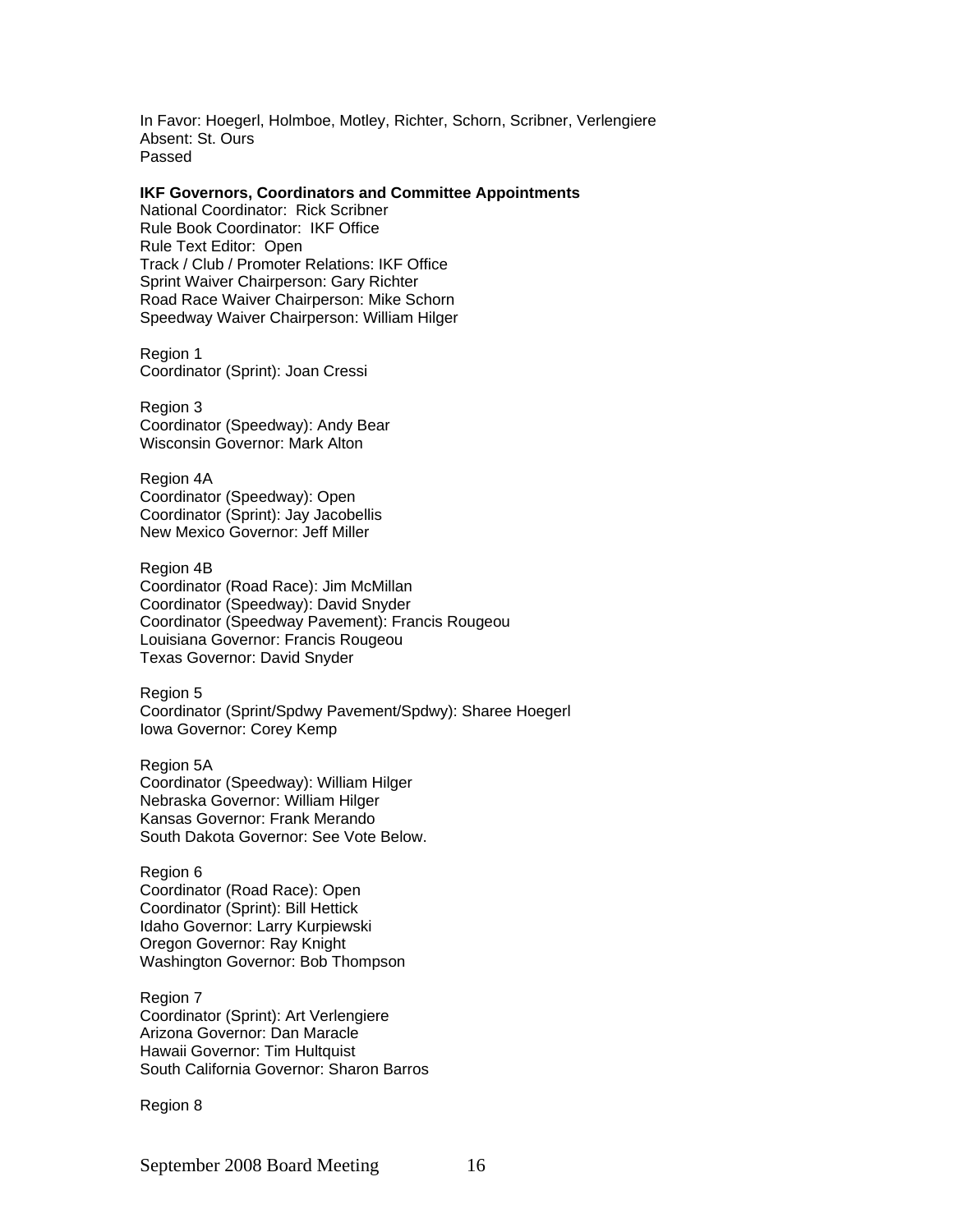In Favor: Hoegerl, Holmboe, Motley, Richter, Schorn, Scribner, Verlengiere Absent: St. Ours Passed

#### **IKF Governors, Coordinators and Committee Appointments**

National Coordinator: Rick Scribner Rule Book Coordinator: IKF Office Rule Text Editor: Open Track / Club / Promoter Relations: IKF Office Sprint Waiver Chairperson: Gary Richter Road Race Waiver Chairperson: Mike Schorn Speedway Waiver Chairperson: William Hilger

Region 1 Coordinator (Sprint): Joan Cressi

Region 3 Coordinator (Speedway): Andy Bear Wisconsin Governor: Mark Alton

Region 4A Coordinator (Speedway): Open Coordinator (Sprint): Jay Jacobellis New Mexico Governor: Jeff Miller

Region 4B Coordinator (Road Race): Jim McMillan Coordinator (Speedway): David Snyder Coordinator (Speedway Pavement): Francis Rougeou Louisiana Governor: Francis Rougeou Texas Governor: David Snyder

Region 5 Coordinator (Sprint/Spdwy Pavement/Spdwy): Sharee Hoegerl Iowa Governor: Corey Kemp

Region 5A Coordinator (Speedway): William Hilger Nebraska Governor: William Hilger Kansas Governor: Frank Merando South Dakota Governor: See Vote Below.

Region 6 Coordinator (Road Race): Open Coordinator (Sprint): Bill Hettick Idaho Governor: Larry Kurpiewski Oregon Governor: Ray Knight Washington Governor: Bob Thompson

Region 7 Coordinator (Sprint): Art Verlengiere Arizona Governor: Dan Maracle Hawaii Governor: Tim Hultquist South California Governor: Sharon Barros

Region 8

September 2008 Board Meeting 16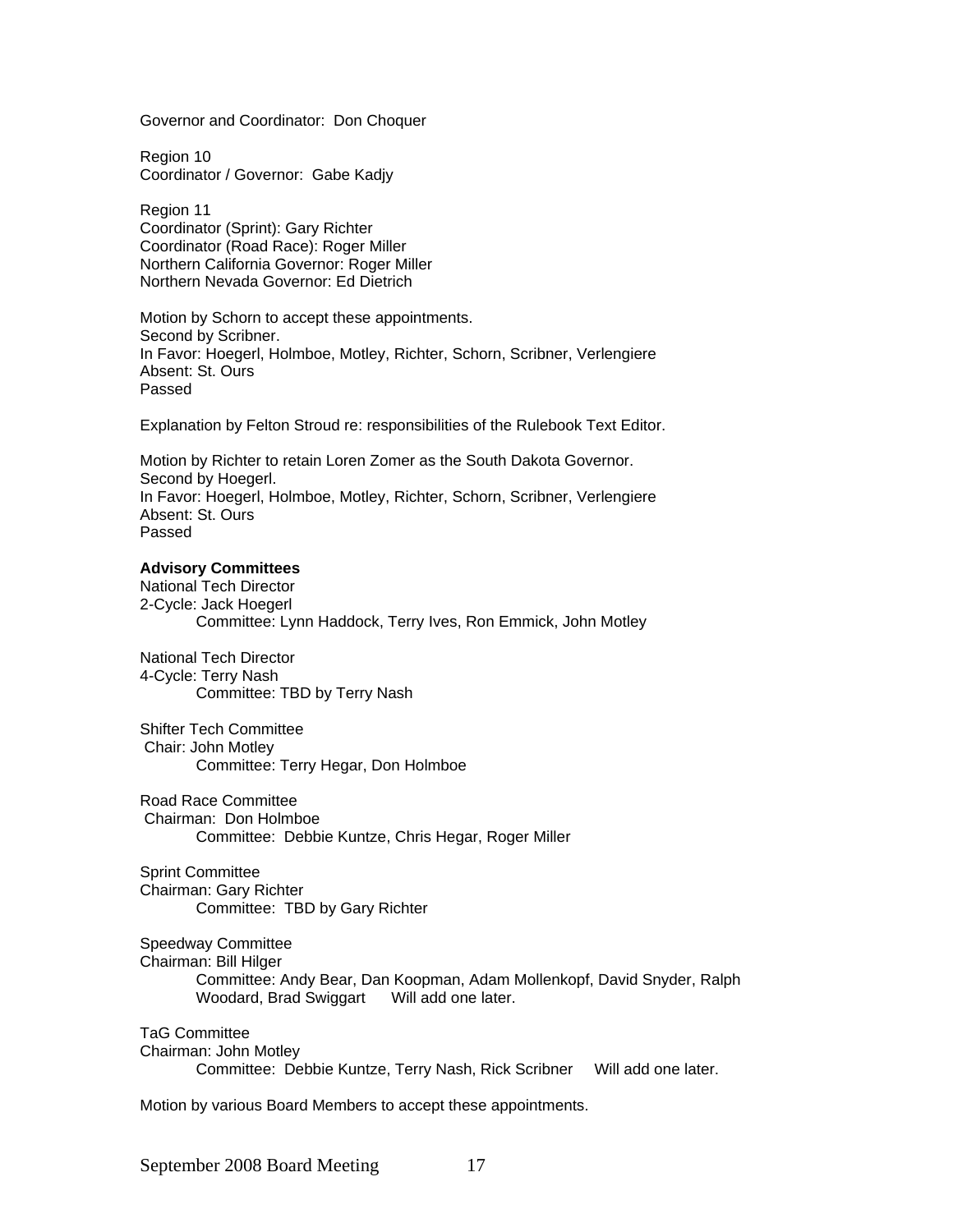Governor and Coordinator: Don Choquer

Region 10 Coordinator / Governor: Gabe Kadjy

Region 11 Coordinator (Sprint): Gary Richter Coordinator (Road Race): Roger Miller Northern California Governor: Roger Miller Northern Nevada Governor: Ed Dietrich

Motion by Schorn to accept these appointments. Second by Scribner. In Favor: Hoegerl, Holmboe, Motley, Richter, Schorn, Scribner, Verlengiere Absent: St. Ours Passed

Explanation by Felton Stroud re: responsibilities of the Rulebook Text Editor.

Motion by Richter to retain Loren Zomer as the South Dakota Governor. Second by Hoegerl. In Favor: Hoegerl, Holmboe, Motley, Richter, Schorn, Scribner, Verlengiere Absent: St. Ours Passed

#### **Advisory Committees**

National Tech Director 2-Cycle: Jack Hoegerl Committee: Lynn Haddock, Terry Ives, Ron Emmick, John Motley

National Tech Director 4-Cycle: Terry Nash Committee: TBD by Terry Nash

Shifter Tech Committee Chair: John Motley Committee: Terry Hegar, Don Holmboe

Road Race Committee Chairman: Don Holmboe Committee: Debbie Kuntze, Chris Hegar, Roger Miller

Sprint Committee Chairman: Gary Richter Committee: TBD by Gary Richter

Speedway Committee Chairman: Bill Hilger

> Committee: Andy Bear, Dan Koopman, Adam Mollenkopf, David Snyder, Ralph Woodard, Brad Swiggart Will add one later.

TaG Committee

Chairman: John Motley

Committee: Debbie Kuntze, Terry Nash, Rick Scribner Will add one later.

Motion by various Board Members to accept these appointments.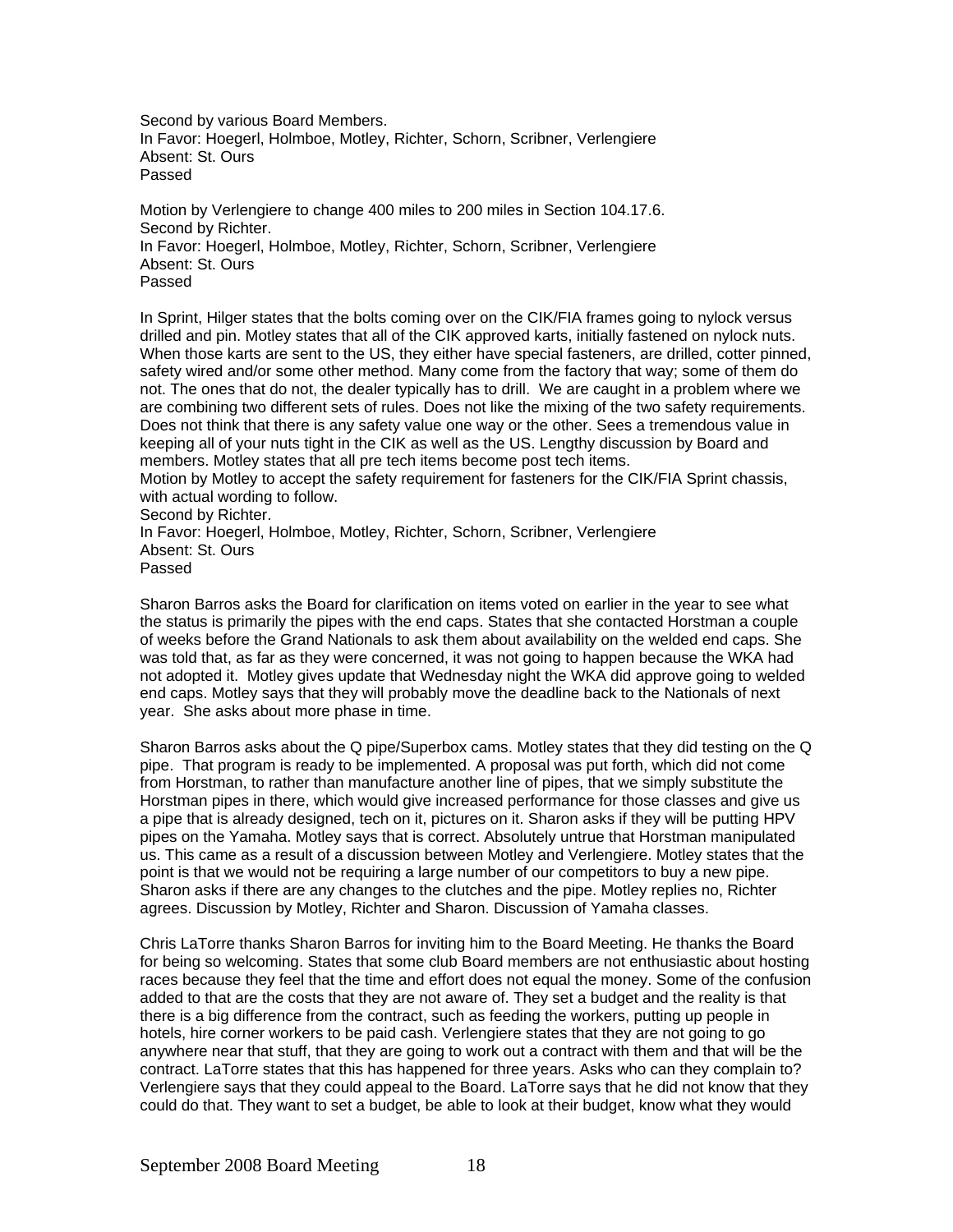Second by various Board Members. In Favor: Hoegerl, Holmboe, Motley, Richter, Schorn, Scribner, Verlengiere Absent: St. Ours Passed

Motion by Verlengiere to change 400 miles to 200 miles in Section 104.17.6. Second by Richter. In Favor: Hoegerl, Holmboe, Motley, Richter, Schorn, Scribner, Verlengiere Absent: St. Ours Passed

In Sprint, Hilger states that the bolts coming over on the CIK/FIA frames going to nylock versus drilled and pin. Motley states that all of the CIK approved karts, initially fastened on nylock nuts. When those karts are sent to the US, they either have special fasteners, are drilled, cotter pinned, safety wired and/or some other method. Many come from the factory that way; some of them do not. The ones that do not, the dealer typically has to drill. We are caught in a problem where we are combining two different sets of rules. Does not like the mixing of the two safety requirements. Does not think that there is any safety value one way or the other. Sees a tremendous value in keeping all of your nuts tight in the CIK as well as the US. Lengthy discussion by Board and members. Motley states that all pre tech items become post tech items. Motion by Motley to accept the safety requirement for fasteners for the CIK/FIA Sprint chassis, with actual wording to follow. Second by Richter. In Favor: Hoegerl, Holmboe, Motley, Richter, Schorn, Scribner, Verlengiere Absent: St. Ours

Passed

Sharon Barros asks the Board for clarification on items voted on earlier in the year to see what the status is primarily the pipes with the end caps. States that she contacted Horstman a couple of weeks before the Grand Nationals to ask them about availability on the welded end caps. She was told that, as far as they were concerned, it was not going to happen because the WKA had not adopted it. Motley gives update that Wednesday night the WKA did approve going to welded end caps. Motley says that they will probably move the deadline back to the Nationals of next year. She asks about more phase in time.

Sharon Barros asks about the Q pipe/Superbox cams. Motley states that they did testing on the Q pipe. That program is ready to be implemented. A proposal was put forth, which did not come from Horstman, to rather than manufacture another line of pipes, that we simply substitute the Horstman pipes in there, which would give increased performance for those classes and give us a pipe that is already designed, tech on it, pictures on it. Sharon asks if they will be putting HPV pipes on the Yamaha. Motley says that is correct. Absolutely untrue that Horstman manipulated us. This came as a result of a discussion between Motley and Verlengiere. Motley states that the point is that we would not be requiring a large number of our competitors to buy a new pipe. Sharon asks if there are any changes to the clutches and the pipe. Motley replies no, Richter agrees. Discussion by Motley, Richter and Sharon. Discussion of Yamaha classes.

Chris LaTorre thanks Sharon Barros for inviting him to the Board Meeting. He thanks the Board for being so welcoming. States that some club Board members are not enthusiastic about hosting races because they feel that the time and effort does not equal the money. Some of the confusion added to that are the costs that they are not aware of. They set a budget and the reality is that there is a big difference from the contract, such as feeding the workers, putting up people in hotels, hire corner workers to be paid cash. Verlengiere states that they are not going to go anywhere near that stuff, that they are going to work out a contract with them and that will be the contract. LaTorre states that this has happened for three years. Asks who can they complain to? Verlengiere says that they could appeal to the Board. LaTorre says that he did not know that they could do that. They want to set a budget, be able to look at their budget, know what they would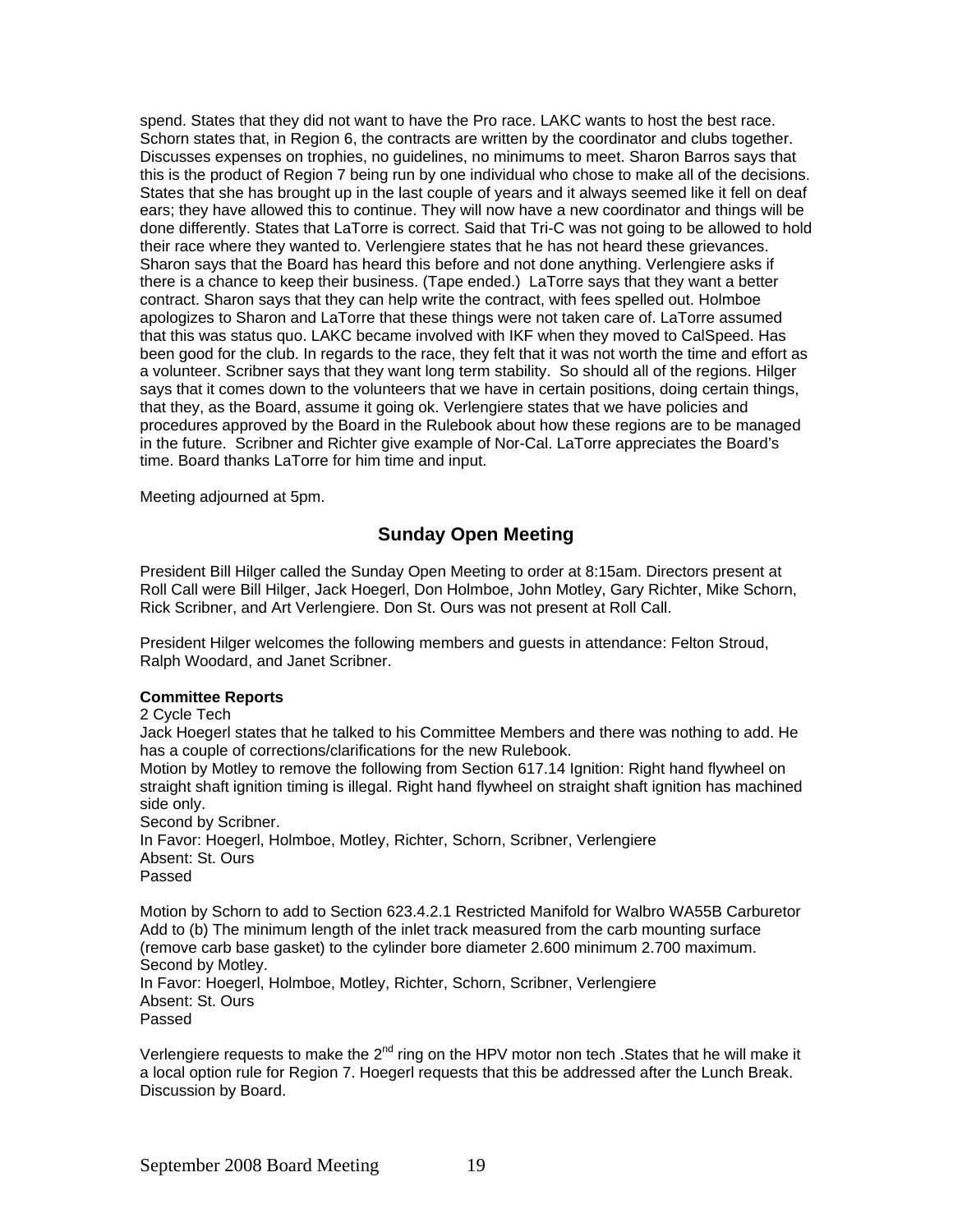spend. States that they did not want to have the Pro race. LAKC wants to host the best race. Schorn states that, in Region 6, the contracts are written by the coordinator and clubs together. Discusses expenses on trophies, no guidelines, no minimums to meet. Sharon Barros says that this is the product of Region 7 being run by one individual who chose to make all of the decisions. States that she has brought up in the last couple of years and it always seemed like it fell on deaf ears; they have allowed this to continue. They will now have a new coordinator and things will be done differently. States that LaTorre is correct. Said that Tri-C was not going to be allowed to hold their race where they wanted to. Verlengiere states that he has not heard these grievances. Sharon says that the Board has heard this before and not done anything. Verlengiere asks if there is a chance to keep their business. (Tape ended.) LaTorre says that they want a better contract. Sharon says that they can help write the contract, with fees spelled out. Holmboe apologizes to Sharon and LaTorre that these things were not taken care of. LaTorre assumed that this was status quo. LAKC became involved with IKF when they moved to CalSpeed. Has been good for the club. In regards to the race, they felt that it was not worth the time and effort as a volunteer. Scribner says that they want long term stability. So should all of the regions. Hilger says that it comes down to the volunteers that we have in certain positions, doing certain things, that they, as the Board, assume it going ok. Verlengiere states that we have policies and procedures approved by the Board in the Rulebook about how these regions are to be managed in the future. Scribner and Richter give example of Nor-Cal. LaTorre appreciates the Board's time. Board thanks LaTorre for him time and input.

Meeting adjourned at 5pm.

# **Sunday Open Meeting**

President Bill Hilger called the Sunday Open Meeting to order at 8:15am. Directors present at Roll Call were Bill Hilger, Jack Hoegerl, Don Holmboe, John Motley, Gary Richter, Mike Schorn, Rick Scribner, and Art Verlengiere. Don St. Ours was not present at Roll Call.

President Hilger welcomes the following members and guests in attendance: Felton Stroud, Ralph Woodard, and Janet Scribner.

# **Committee Reports**

2 Cycle Tech

Jack Hoegerl states that he talked to his Committee Members and there was nothing to add. He has a couple of corrections/clarifications for the new Rulebook.

Motion by Motley to remove the following from Section 617.14 Ignition: Right hand flywheel on straight shaft ignition timing is illegal. Right hand flywheel on straight shaft ignition has machined side only.

Second by Scribner. In Favor: Hoegerl, Holmboe, Motley, Richter, Schorn, Scribner, Verlengiere Absent: St. Ours Passed

Motion by Schorn to add to Section 623.4.2.1 Restricted Manifold for Walbro WA55B Carburetor Add to (b) The minimum length of the inlet track measured from the carb mounting surface (remove carb base gasket) to the cylinder bore diameter 2.600 minimum 2.700 maximum. Second by Motley. In Favor: Hoegerl, Holmboe, Motley, Richter, Schorn, Scribner, Verlengiere Absent: St. Ours

Passed

Verlengiere requests to make the 2<sup>nd</sup> ring on the HPV motor non tech . States that he will make it a local option rule for Region 7. Hoegerl requests that this be addressed after the Lunch Break. Discussion by Board.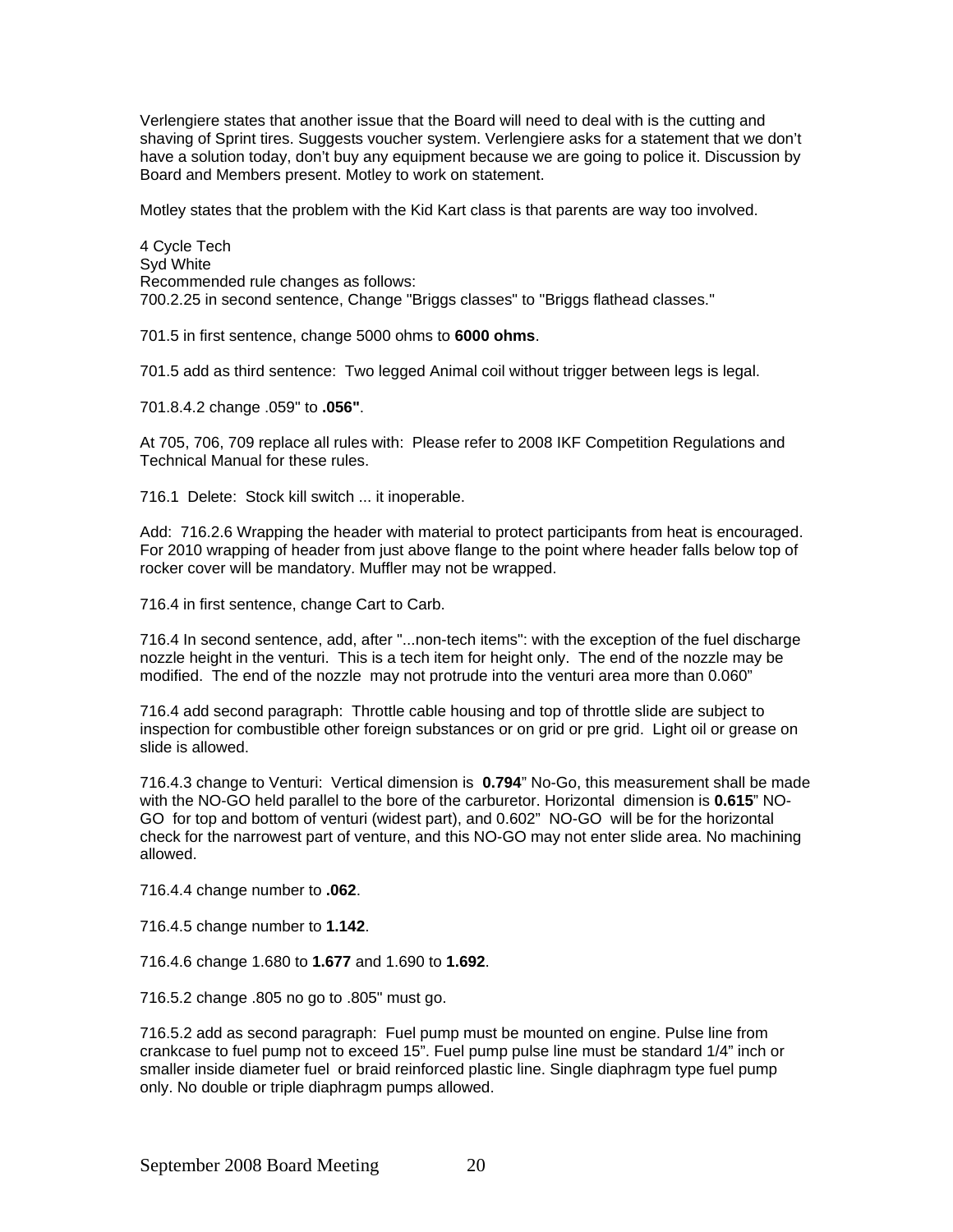Verlengiere states that another issue that the Board will need to deal with is the cutting and shaving of Sprint tires. Suggests voucher system. Verlengiere asks for a statement that we don't have a solution today, don't buy any equipment because we are going to police it. Discussion by Board and Members present. Motley to work on statement.

Motley states that the problem with the Kid Kart class is that parents are way too involved.

4 Cycle Tech Syd White Recommended rule changes as follows: 700.2.25 in second sentence, Change "Briggs classes" to "Briggs flathead classes."

701.5 in first sentence, change 5000 ohms to **6000 ohms**.

701.5 add as third sentence: Two legged Animal coil without trigger between legs is legal.

701.8.4.2 change .059" to **.056"**.

At 705, 706, 709 replace all rules with: Please refer to 2008 IKF Competition Regulations and Technical Manual for these rules.

716.1 Delete: Stock kill switch ... it inoperable.

Add: 716.2.6 Wrapping the header with material to protect participants from heat is encouraged. For 2010 wrapping of header from just above flange to the point where header falls below top of rocker cover will be mandatory. Muffler may not be wrapped.

716.4 in first sentence, change Cart to Carb.

716.4 In second sentence, add, after "...non-tech items": with the exception of the fuel discharge nozzle height in the venturi. This is a tech item for height only. The end of the nozzle may be modified. The end of the nozzle may not protrude into the venturi area more than 0.060"

716.4 add second paragraph: Throttle cable housing and top of throttle slide are subject to inspection for combustible other foreign substances or on grid or pre grid. Light oil or grease on slide is allowed.

716.4.3 change to Venturi: Vertical dimension is **0.794**" No-Go, this measurement shall be made with the NO-GO held parallel to the bore of the carburetor. Horizontal dimension is **0.615**" NO-GO for top and bottom of venturi (widest part), and 0.602" NO-GO will be for the horizontal check for the narrowest part of venture, and this NO-GO may not enter slide area. No machining allowed.

716.4.4 change number to **.062**.

716.4.5 change number to **1.142**.

716.4.6 change 1.680 to **1.677** and 1.690 to **1.692**.

716.5.2 change .805 no go to .805" must go.

716.5.2 add as second paragraph: Fuel pump must be mounted on engine. Pulse line from crankcase to fuel pump not to exceed 15". Fuel pump pulse line must be standard 1/4" inch or smaller inside diameter fuel or braid reinforced plastic line. Single diaphragm type fuel pump only. No double or triple diaphragm pumps allowed.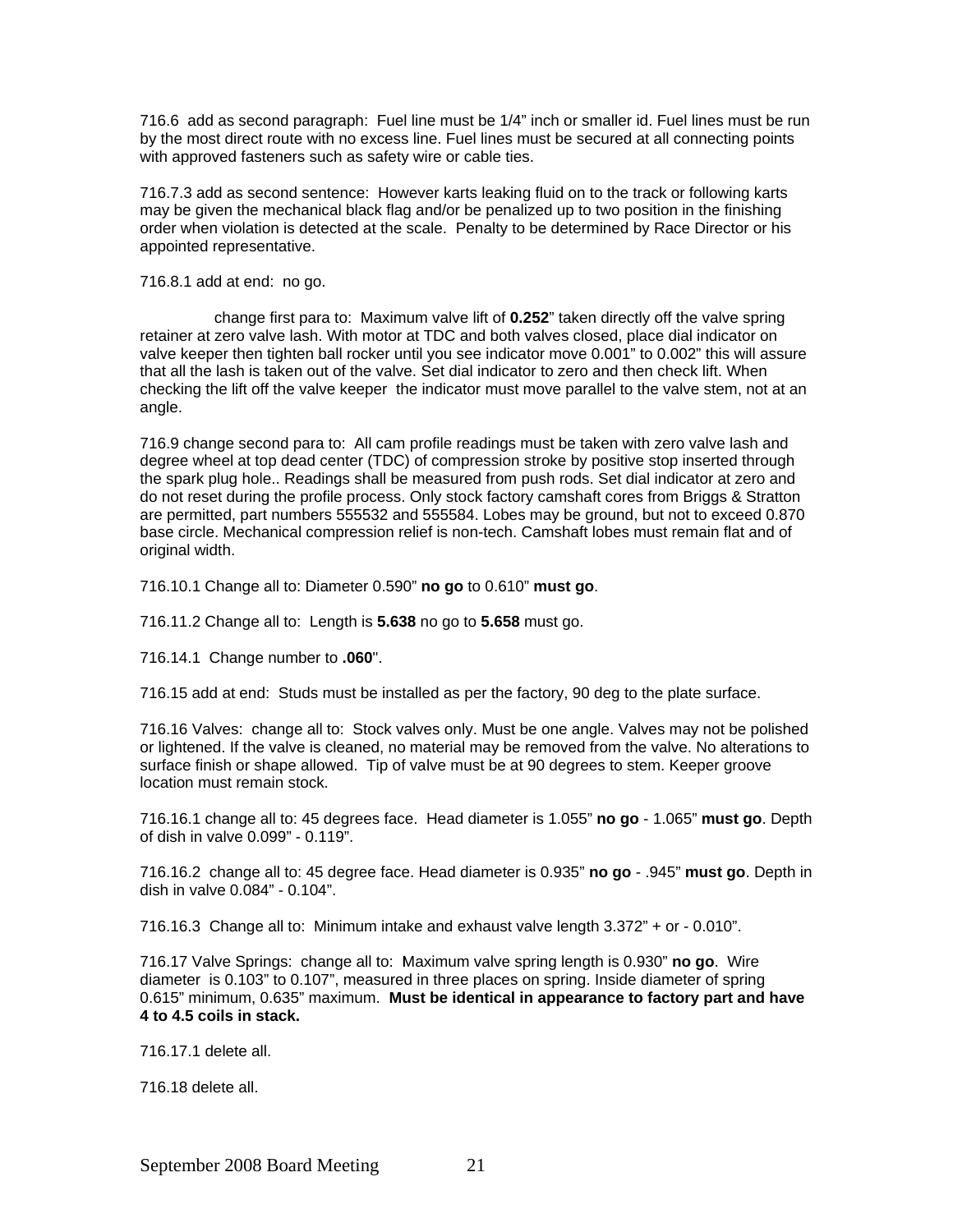716.6 add as second paragraph: Fuel line must be 1/4" inch or smaller id. Fuel lines must be run by the most direct route with no excess line. Fuel lines must be secured at all connecting points with approved fasteners such as safety wire or cable ties.

716.7.3 add as second sentence: However karts leaking fluid on to the track or following karts may be given the mechanical black flag and/or be penalized up to two position in the finishing order when violation is detected at the scale. Penalty to be determined by Race Director or his appointed representative.

716.8.1 add at end: no go.

 change first para to: Maximum valve lift of **0.252**" taken directly off the valve spring retainer at zero valve lash. With motor at TDC and both valves closed, place dial indicator on valve keeper then tighten ball rocker until you see indicator move 0.001" to 0.002" this will assure that all the lash is taken out of the valve. Set dial indicator to zero and then check lift. When checking the lift off the valve keeper the indicator must move parallel to the valve stem, not at an angle.

716.9 change second para to: All cam profile readings must be taken with zero valve lash and degree wheel at top dead center (TDC) of compression stroke by positive stop inserted through the spark plug hole.. Readings shall be measured from push rods. Set dial indicator at zero and do not reset during the profile process. Only stock factory camshaft cores from Briggs & Stratton are permitted, part numbers 555532 and 555584. Lobes may be ground, but not to exceed 0.870 base circle. Mechanical compression relief is non-tech. Camshaft lobes must remain flat and of original width.

716.10.1 Change all to: Diameter 0.590" **no go** to 0.610" **must go**.

716.11.2 Change all to: Length is **5.638** no go to **5.658** must go.

716.14.1 Change number to **.060**".

716.15 add at end: Studs must be installed as per the factory, 90 deg to the plate surface.

716.16 Valves: change all to: Stock valves only. Must be one angle. Valves may not be polished or lightened. If the valve is cleaned, no material may be removed from the valve. No alterations to surface finish or shape allowed. Tip of valve must be at 90 degrees to stem. Keeper groove location must remain stock.

716.16.1 change all to: 45 degrees face. Head diameter is 1.055" **no go** - 1.065" **must go**. Depth of dish in valve 0.099" - 0.119".

716.16.2 change all to: 45 degree face. Head diameter is 0.935" **no go** - .945" **must go**. Depth in dish in valve 0.084" - 0.104".

716.16.3 Change all to: Minimum intake and exhaust valve length 3.372" + or - 0.010".

716.17 Valve Springs: change all to: IMaximum valve spring length is 0.930" **no go**. Wire diameter is 0.103" to 0.107", measured in three places on spring. Inside diameter of spring 0.615" minimum, 0.635" maximum. **Must be identical in appearance to factory part and have 4 to 4.5 coils in stack.**

716.17.1 delete all.

716.18 delete all.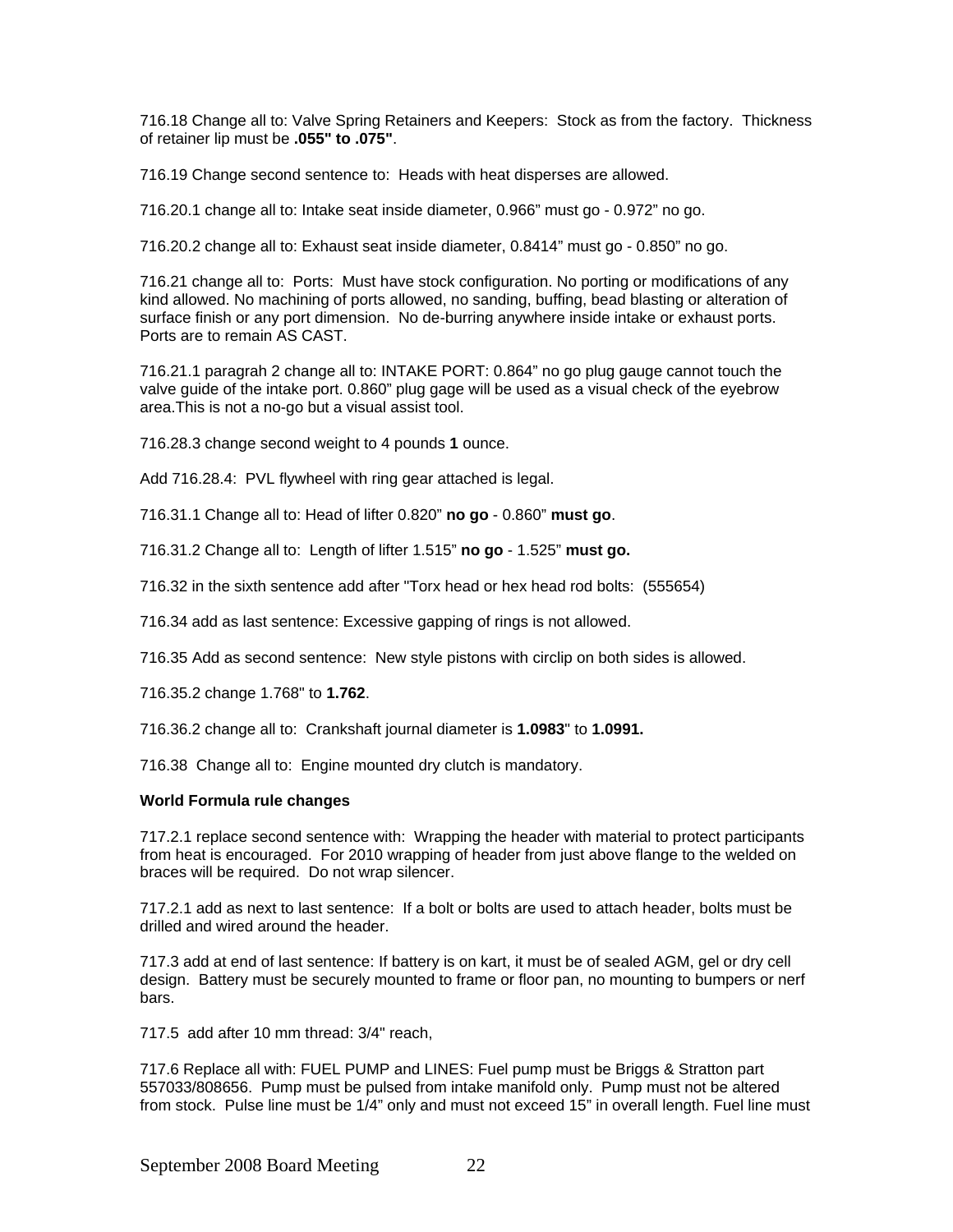716.18 Change all to: Valve Spring Retainers and Keepers: Stock as from the factory. Thickness of retainer lip must be **.055" to .075"**.

716.19 Change second sentence to: Heads with heat disperses are allowed.

716.20.1 change all to: Intake seat inside diameter, 0.966" must go - 0.972" no go.

716.20.2 change all to: Exhaust seat inside diameter, 0.8414" must go - 0.850" no go.

716.21 change all to: Ports: Must have stock configuration. No porting or modifications of any kind allowed. No machining of ports allowed, no sanding, buffing, bead blasting or alteration of surface finish or any port dimension. No de-burring anywhere inside intake or exhaust ports. Ports are to remain AS CAST.

716.21.1 paragrah 2 change all to: INTAKE PORT: 0.864" no go plug gauge cannot touch the valve guide of the intake port. 0.860" plug gage will be used as a visual check of the eyebrow area.This is not a no-go but a visual assist tool.

716.28.3 change second weight to 4 pounds **1** ounce.

Add 716.28.4: PVL flywheel with ring gear attached is legal.

716.31.1 Change all to: Head of lifter 0.820" **no go** - 0.860" **must go**.

716.31.2 Change all to: Length of lifter 1.515" **no go** - 1.525" **must go.** 

716.32 in the sixth sentence add after "Torx head or hex head rod bolts: (555654)

716.34 add as last sentence: Excessive gapping of rings is not allowed.

716.35 Add as second sentence: New style pistons with circlip on both sides is allowed.

716.35.2 change 1.768" to **1.762**.

716.36.2 change all to: Crankshaft journal diameter is **1.0983**" to **1.0991.** 

716.38 Change all to: Engine mounted dry clutch is mandatory.

#### **World Formula rule changes**

717.2.1 replace second sentence with: Wrapping the header with material to protect participants from heat is encouraged. For 2010 wrapping of header from just above flange to the welded on braces will be required. Do not wrap silencer.

717.2.1 add as next to last sentence: If a bolt or bolts are used to attach header, bolts must be drilled and wired around the header.

717.3 add at end of last sentence: If battery is on kart, it must be of sealed AGM, gel or dry cell design. Battery must be securely mounted to frame or floor pan, no mounting to bumpers or nerf bars.

717.5 add after 10 mm thread: 3/4" reach,

717.6 Replace all with: FUEL PUMP and LINES: Fuel pump must be Briggs & Stratton part 557033/808656. Pump must be pulsed from intake manifold only. Pump must not be altered from stock. Pulse line must be 1/4" only and must not exceed 15" in overall length. Fuel line must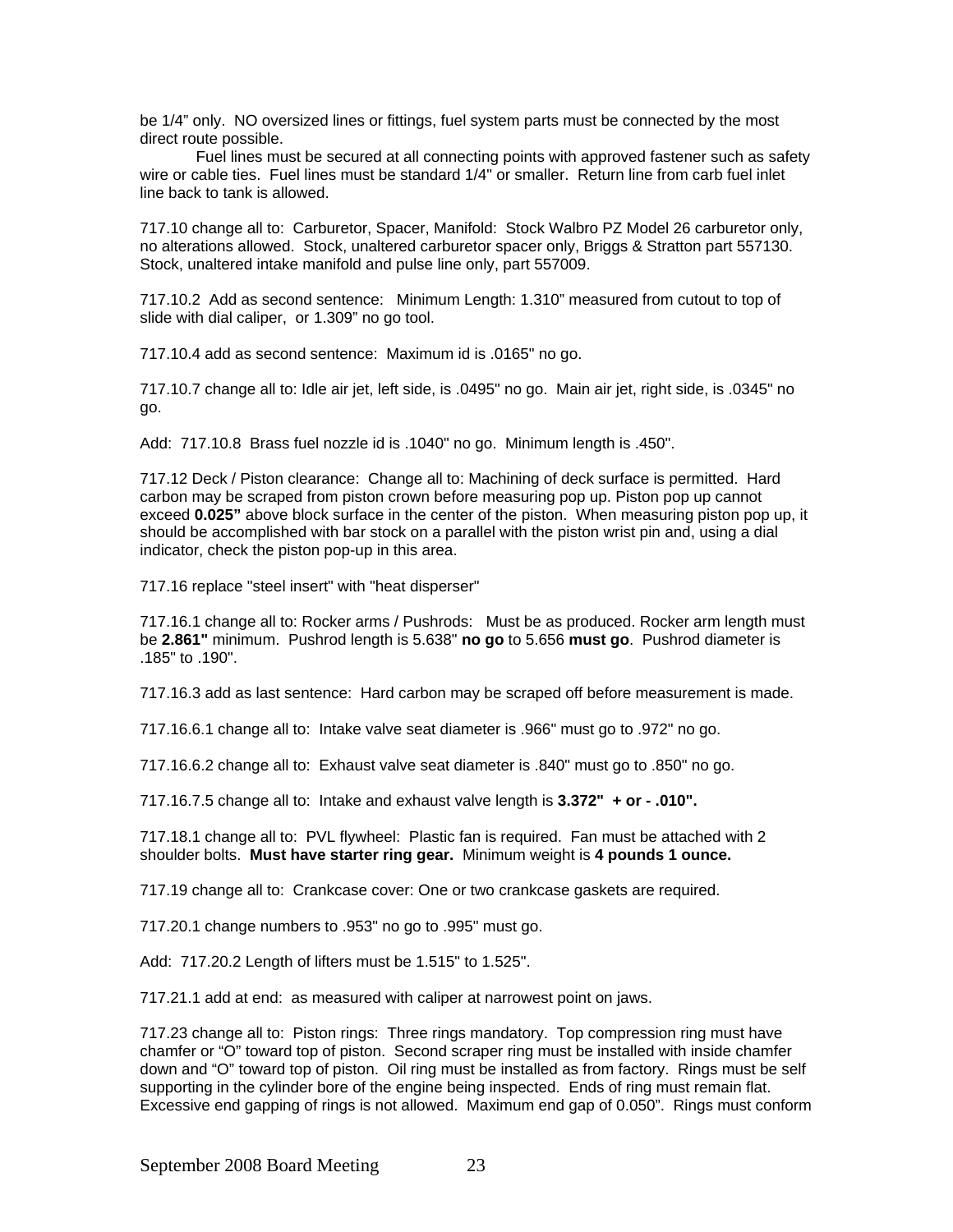be 1/4" only. NO oversized lines or fittings, fuel system parts must be connected by the most direct route possible.

 Fuel lines must be secured at all connecting points with approved fastener such as safety wire or cable ties. Fuel lines must be standard 1/4" or smaller. Return line from carb fuel inlet line back to tank is allowed.

717.10 change all to: Carburetor, Spacer, Manifold: Stock Walbro PZ Model 26 carburetor only, no alterations allowed. Stock, unaltered carburetor spacer only, Briggs & Stratton part 557130. Stock, unaltered intake manifold and pulse line only, part 557009.

717.10.2 Add as second sentence: Minimum Length: 1.310" measured from cutout to top of slide with dial caliper, or 1.309" no go tool.

717.10.4 add as second sentence: Maximum id is .0165" no go.

717.10.7 change all to: Idle air jet, left side, is .0495" no go. Main air jet, right side, is .0345" no go.

Add: 717.10.8 Brass fuel nozzle id is .1040" no go. Minimum length is .450".

717.12 Deck / Piston clearance: Change all to: Machining of deck surface is permitted. Hard carbon may be scraped from piston crown before measuring pop up. Piston pop up cannot exceed **0.025"** above block surface in the center of the piston. When measuring piston pop up, it should be accomplished with bar stock on a parallel with the piston wrist pin and, using a dial indicator, check the piston pop-up in this area.

717.16 replace "steel insert" with "heat disperser"

717.16.1 change all to: Rocker arms / Pushrods: Must be as produced. Rocker arm length must be **2.861"** minimum. Pushrod length is 5.638" **no go** to 5.656 **must go**. Pushrod diameter is .185" to .190".

717.16.3 add as last sentence: Hard carbon may be scraped off before measurement is made.

717.16.6.1 change all to: Intake valve seat diameter is .966" must go to .972" no go.

717.16.6.2 change all to: Exhaust valve seat diameter is .840" must go to .850" no go.

717.16.7.5 change all to: Intake and exhaust valve length is **3.372" + or - .010".** 

717.18.1 change all to: PVL flywheel: Plastic fan is required. Fan must be attached with 2 shoulder bolts. **Must have starter ring gear.** Minimum weight is **4 pounds 1 ounce.** 

717.19 change all to: Crankcase cover: One or two crankcase gaskets are required.

717.20.1 change numbers to .953" no go to .995" must go.

Add: 717.20.2 Length of lifters must be 1.515" to 1.525".

717.21.1 add at end: as measured with caliper at narrowest point on jaws.

717.23 change all to: Piston rings: Three rings mandatory. Top compression ring must have chamfer or "O" toward top of piston. Second scraper ring must be installed with inside chamfer down and "O" toward top of piston. Oil ring must be installed as from factory. Rings must be self supporting in the cylinder bore of the engine being inspected. Ends of ring must remain flat. Excessive end gapping of rings is not allowed. Maximum end gap of 0.050". Rings must conform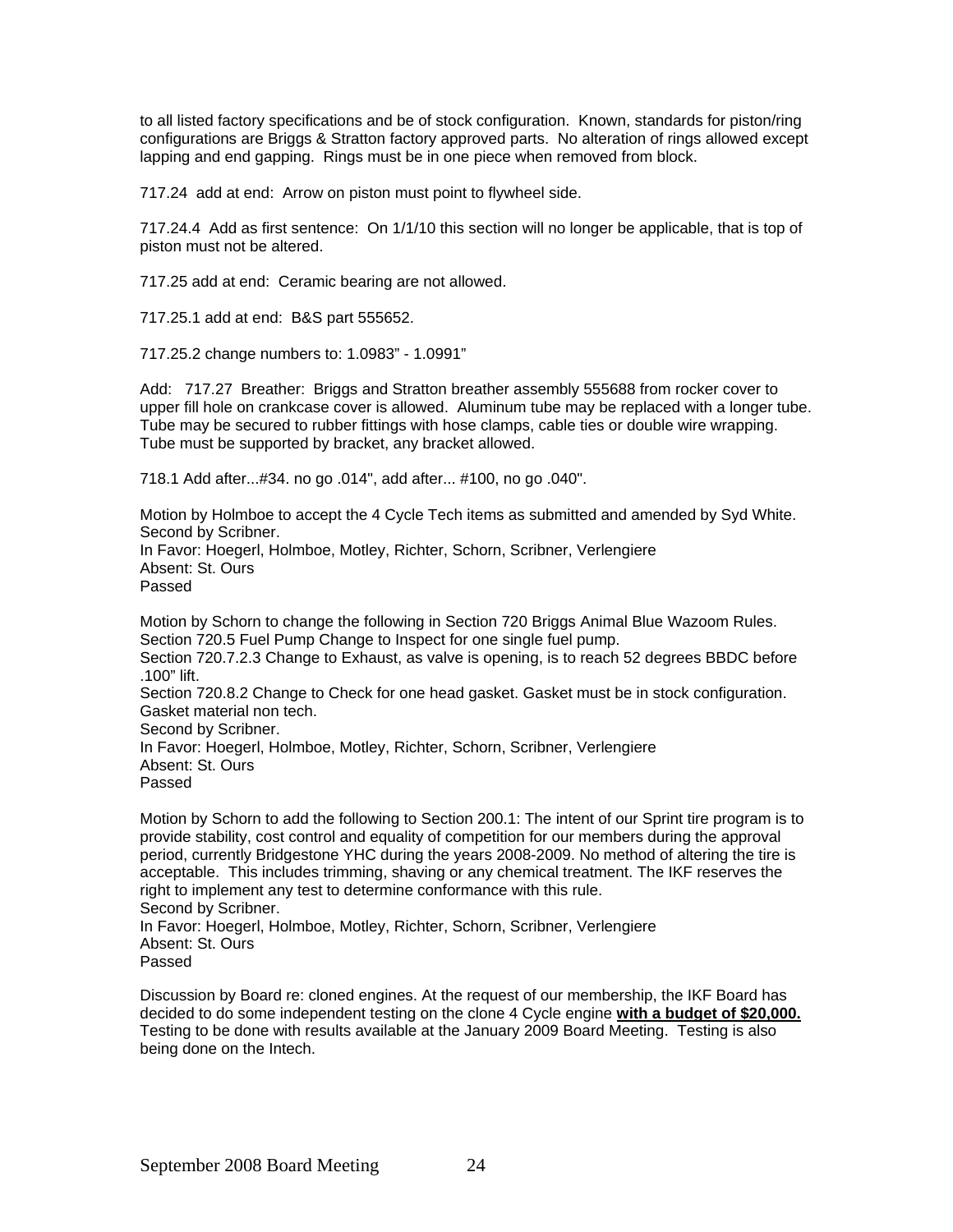to all listed factory specifications and be of stock configuration. Known, standards for piston/ring configurations are Briggs & Stratton factory approved parts. No alteration of rings allowed except lapping and end gapping. Rings must be in one piece when removed from block.

717.24 add at end: Arrow on piston must point to flywheel side.

717.24.4 Add as first sentence: On 1/1/10 this section will no longer be applicable, that is top of piston must not be altered.

717.25 add at end: Ceramic bearing are not allowed.

717.25.1 add at end: B&S part 555652.

717.25.2 change numbers to: 1.0983" - 1.0991"

Add: 717.27 Breather: Briggs and Stratton breather assembly 555688 from rocker cover to upper fill hole on crankcase cover is allowed. Aluminum tube may be replaced with a longer tube. Tube may be secured to rubber fittings with hose clamps, cable ties or double wire wrapping. Tube must be supported by bracket, any bracket allowed.

718.1 Add after...#34. no go .014", add after... #100, no go .040".

Motion by Holmboe to accept the 4 Cycle Tech items as submitted and amended by Syd White. Second by Scribner. In Favor: Hoegerl, Holmboe, Motley, Richter, Schorn, Scribner, Verlengiere Absent: St. Ours Passed

Motion by Schorn to change the following in Section 720 Briggs Animal Blue Wazoom Rules. Section 720.5 Fuel Pump Change to Inspect for one single fuel pump. Section 720.7.2.3 Change to Exhaust, as valve is opening, is to reach 52 degrees BBDC before .100" lift. Section 720.8.2 Change to Check for one head gasket. Gasket must be in stock configuration. Gasket material non tech. Second by Scribner. In Favor: Hoegerl, Holmboe, Motley, Richter, Schorn, Scribner, Verlengiere Absent: St. Ours Passed

Motion by Schorn to add the following to Section 200.1: The intent of our Sprint tire program is to provide stability, cost control and equality of competition for our members during the approval period, currently Bridgestone YHC during the years 2008-2009. No method of altering the tire is acceptable. This includes trimming, shaving or any chemical treatment. The IKF reserves the right to implement any test to determine conformance with this rule. Second by Scribner. In Favor: Hoegerl, Holmboe, Motley, Richter, Schorn, Scribner, Verlengiere Absent: St. Ours Passed

Discussion by Board re: cloned engines. At the request of our membership, the IKF Board has decided to do some independent testing on the clone 4 Cycle engine **with a budget of \$20,000.** Testing to be done with results available at the January 2009 Board Meeting. Testing is also being done on the Intech.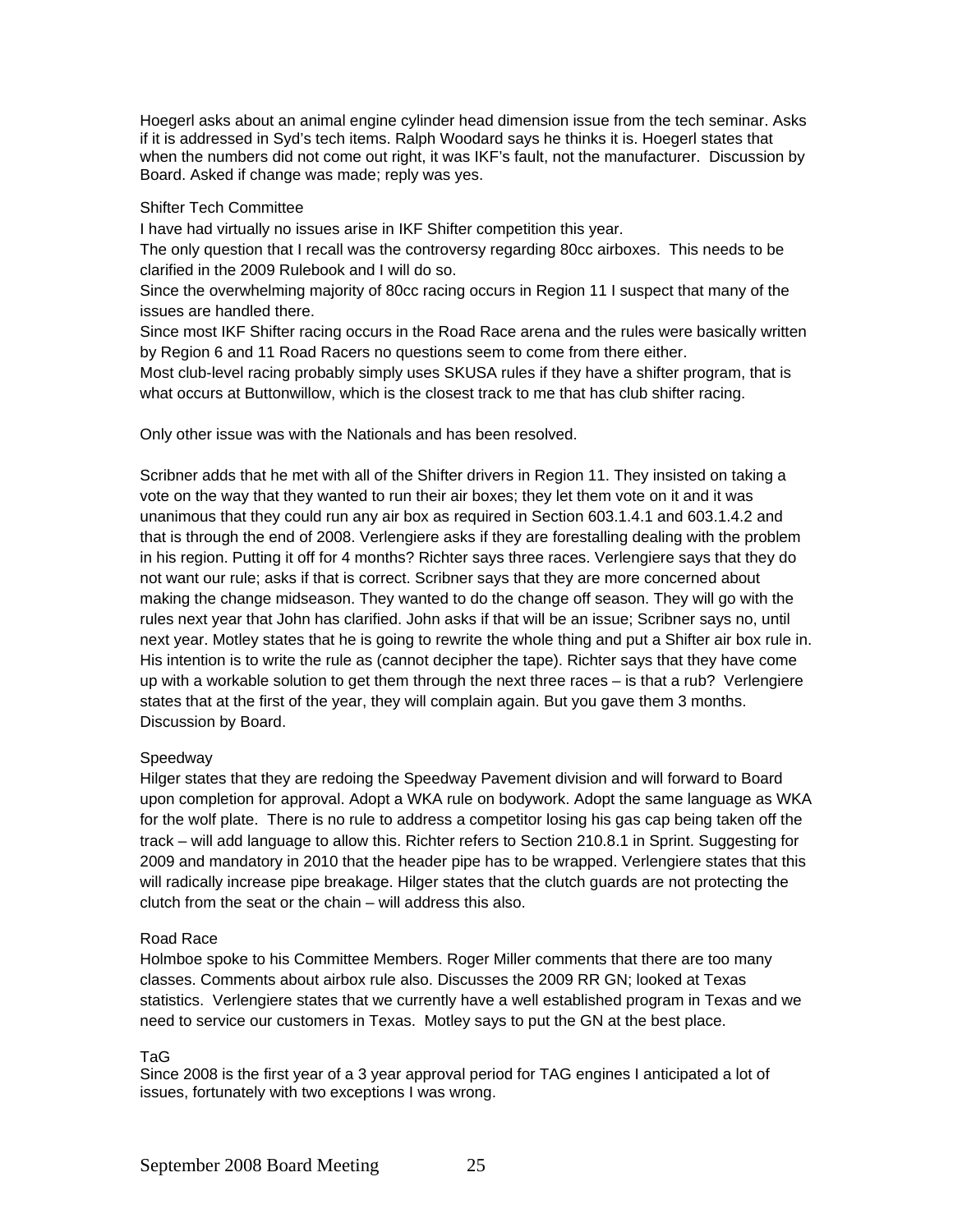Hoegerl asks about an animal engine cylinder head dimension issue from the tech seminar. Asks if it is addressed in Syd's tech items. Ralph Woodard says he thinks it is. Hoegerl states that when the numbers did not come out right, it was IKF's fault, not the manufacturer. Discussion by Board. Asked if change was made; reply was yes.

#### Shifter Tech Committee

I have had virtually no issues arise in IKF Shifter competition this year.

The only question that I recall was the controversy regarding 80cc airboxes. This needs to be clarified in the 2009 Rulebook and I will do so.

Since the overwhelming majority of 80cc racing occurs in Region 11 I suspect that many of the issues are handled there.

Since most IKF Shifter racing occurs in the Road Race arena and the rules were basically written by Region 6 and 11 Road Racers no questions seem to come from there either.

Most club-level racing probably simply uses SKUSA rules if they have a shifter program, that is what occurs at Buttonwillow, which is the closest track to me that has club shifter racing.

Only other issue was with the Nationals and has been resolved.

Scribner adds that he met with all of the Shifter drivers in Region 11. They insisted on taking a vote on the way that they wanted to run their air boxes; they let them vote on it and it was unanimous that they could run any air box as required in Section 603.1.4.1 and 603.1.4.2 and that is through the end of 2008. Verlengiere asks if they are forestalling dealing with the problem in his region. Putting it off for 4 months? Richter says three races. Verlengiere says that they do not want our rule; asks if that is correct. Scribner says that they are more concerned about making the change midseason. They wanted to do the change off season. They will go with the rules next year that John has clarified. John asks if that will be an issue; Scribner says no, until next year. Motley states that he is going to rewrite the whole thing and put a Shifter air box rule in. His intention is to write the rule as (cannot decipher the tape). Richter says that they have come up with a workable solution to get them through the next three races – is that a rub? Verlengiere states that at the first of the year, they will complain again. But you gave them 3 months. Discussion by Board.

# Speedway

Hilger states that they are redoing the Speedway Pavement division and will forward to Board upon completion for approval. Adopt a WKA rule on bodywork. Adopt the same language as WKA for the wolf plate. There is no rule to address a competitor losing his gas cap being taken off the track – will add language to allow this. Richter refers to Section 210.8.1 in Sprint. Suggesting for 2009 and mandatory in 2010 that the header pipe has to be wrapped. Verlengiere states that this will radically increase pipe breakage. Hilger states that the clutch guards are not protecting the clutch from the seat or the chain – will address this also.

# Road Race

Holmboe spoke to his Committee Members. Roger Miller comments that there are too many classes. Comments about airbox rule also. Discusses the 2009 RR GN; looked at Texas statistics. Verlengiere states that we currently have a well established program in Texas and we need to service our customers in Texas. Motley says to put the GN at the best place.

TaG

Since 2008 is the first year of a 3 year approval period for TAG engines I anticipated a lot of issues, fortunately with two exceptions I was wrong.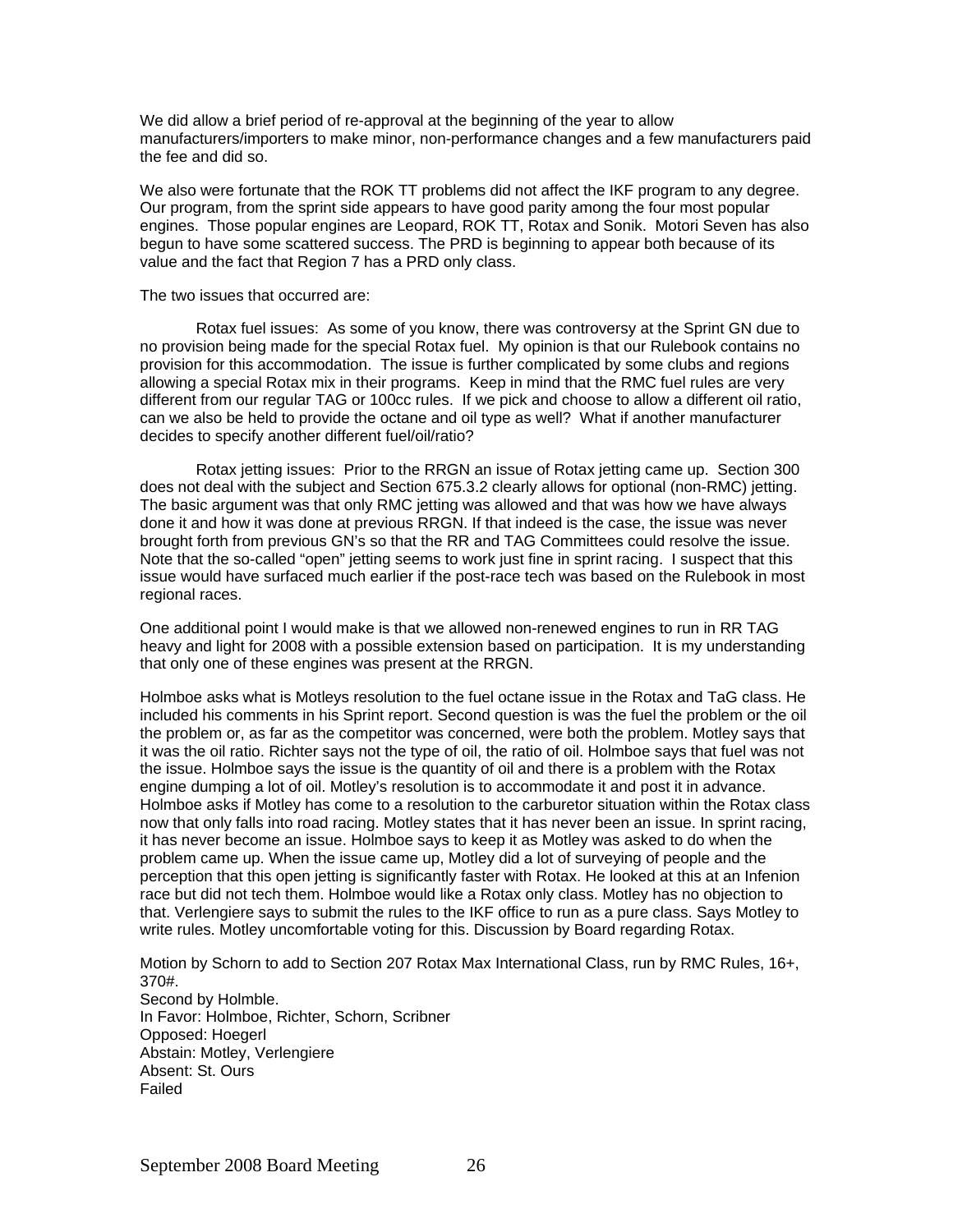We did allow a brief period of re-approval at the beginning of the year to allow manufacturers/importers to make minor, non-performance changes and a few manufacturers paid the fee and did so.

We also were fortunate that the ROK TT problems did not affect the IKF program to any degree. Our program, from the sprint side appears to have good parity among the four most popular engines. Those popular engines are Leopard, ROK TT, Rotax and Sonik. Motori Seven has also begun to have some scattered success. The PRD is beginning to appear both because of its value and the fact that Region 7 has a PRD only class.

#### The two issues that occurred are:

Rotax fuel issues: As some of you know, there was controversy at the Sprint GN due to no provision being made for the special Rotax fuel. My opinion is that our Rulebook contains no provision for this accommodation. The issue is further complicated by some clubs and regions allowing a special Rotax mix in their programs. Keep in mind that the RMC fuel rules are very different from our regular TAG or 100cc rules. If we pick and choose to allow a different oil ratio, can we also be held to provide the octane and oil type as well? What if another manufacturer decides to specify another different fuel/oil/ratio?

Rotax jetting issues: Prior to the RRGN an issue of Rotax jetting came up. Section 300 does not deal with the subject and Section 675.3.2 clearly allows for optional (non-RMC) jetting. The basic argument was that only RMC jetting was allowed and that was how we have always done it and how it was done at previous RRGN. If that indeed is the case, the issue was never brought forth from previous GN's so that the RR and TAG Committees could resolve the issue. Note that the so-called "open" jetting seems to work just fine in sprint racing. I suspect that this issue would have surfaced much earlier if the post-race tech was based on the Rulebook in most regional races.

One additional point I would make is that we allowed non-renewed engines to run in RR TAG heavy and light for 2008 with a possible extension based on participation. It is my understanding that only one of these engines was present at the RRGN.

Holmboe asks what is Motleys resolution to the fuel octane issue in the Rotax and TaG class. He included his comments in his Sprint report. Second question is was the fuel the problem or the oil the problem or, as far as the competitor was concerned, were both the problem. Motley says that it was the oil ratio. Richter says not the type of oil, the ratio of oil. Holmboe says that fuel was not the issue. Holmboe says the issue is the quantity of oil and there is a problem with the Rotax engine dumping a lot of oil. Motley's resolution is to accommodate it and post it in advance. Holmboe asks if Motley has come to a resolution to the carburetor situation within the Rotax class now that only falls into road racing. Motley states that it has never been an issue. In sprint racing, it has never become an issue. Holmboe says to keep it as Motley was asked to do when the problem came up. When the issue came up, Motley did a lot of surveying of people and the perception that this open jetting is significantly faster with Rotax. He looked at this at an Infenion race but did not tech them. Holmboe would like a Rotax only class. Motley has no objection to that. Verlengiere says to submit the rules to the IKF office to run as a pure class. Says Motley to write rules. Motley uncomfortable voting for this. Discussion by Board regarding Rotax.

Motion by Schorn to add to Section 207 Rotax Max International Class, run by RMC Rules, 16+, 370#. Second by Holmble. In Favor: Holmboe, Richter, Schorn, Scribner Opposed: Hoegerl Abstain: Motley, Verlengiere Absent: St. Ours Failed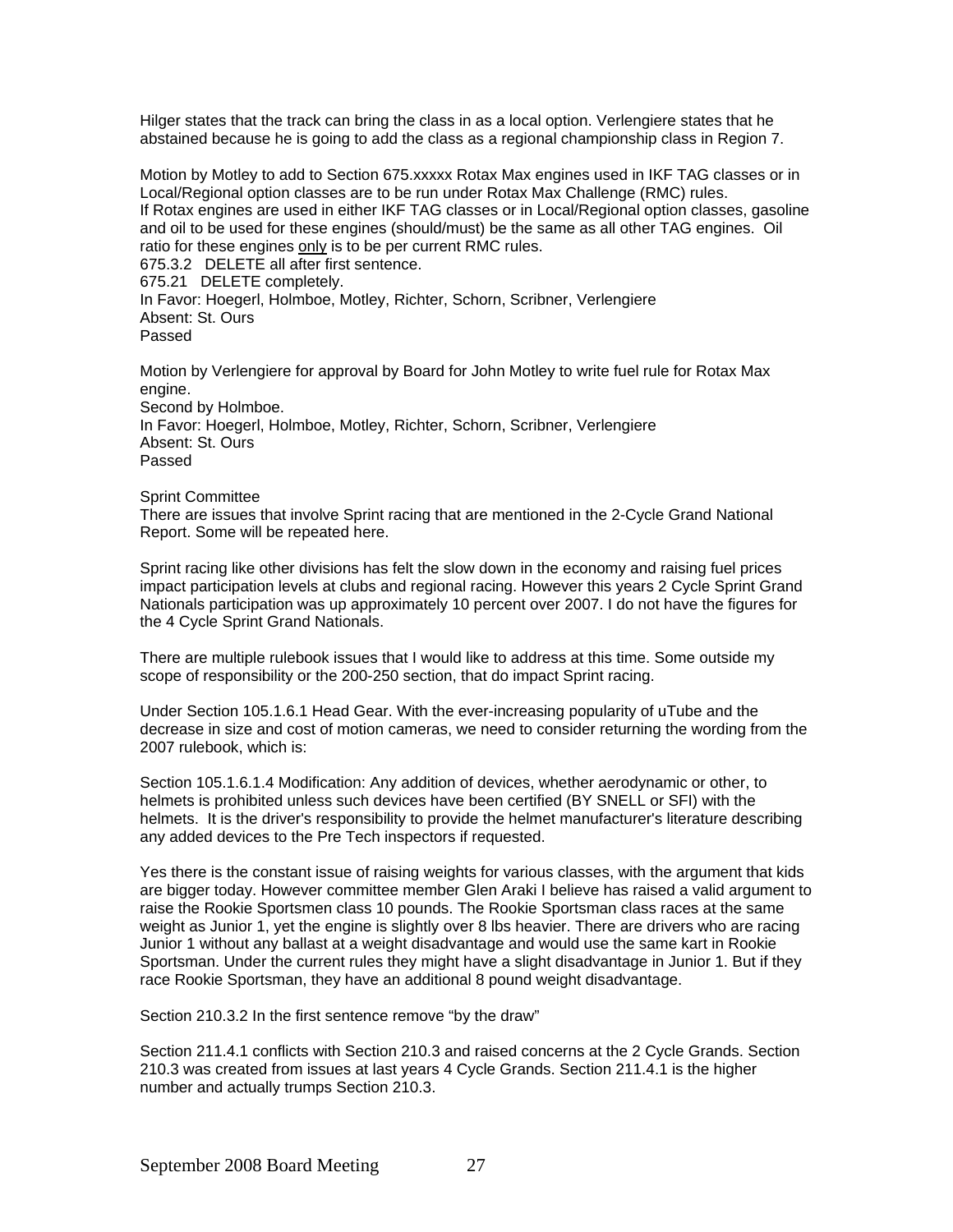Hilger states that the track can bring the class in as a local option. Verlengiere states that he abstained because he is going to add the class as a regional championship class in Region 7.

Motion by Motley to add to Section 675.xxxxx Rotax Max engines used in IKF TAG classes or in Local/Regional option classes are to be run under Rotax Max Challenge (RMC) rules. If Rotax engines are used in either IKF TAG classes or in Local/Regional option classes, gasoline and oil to be used for these engines (should/must) be the same as all other TAG engines. Oil ratio for these engines only is to be per current RMC rules. 675.3.2 DELETE all after first sentence. 675.21 DELETE completely.

In Favor: Hoegerl, Holmboe, Motley, Richter, Schorn, Scribner, Verlengiere Absent: St. Ours Passed

Motion by Verlengiere for approval by Board for John Motley to write fuel rule for Rotax Max engine. Second by Holmboe. In Favor: Hoegerl, Holmboe, Motley, Richter, Schorn, Scribner, Verlengiere Absent: St. Ours Passed

Sprint Committee

There are issues that involve Sprint racing that are mentioned in the 2-Cycle Grand National Report. Some will be repeated here.

Sprint racing like other divisions has felt the slow down in the economy and raising fuel prices impact participation levels at clubs and regional racing. However this years 2 Cycle Sprint Grand Nationals participation was up approximately 10 percent over 2007. I do not have the figures for the 4 Cycle Sprint Grand Nationals.

There are multiple rulebook issues that I would like to address at this time. Some outside my scope of responsibility or the 200-250 section, that do impact Sprint racing.

Under Section 105.1.6.1 Head Gear. With the ever-increasing popularity of uTube and the decrease in size and cost of motion cameras, we need to consider returning the wording from the 2007 rulebook, which is:

Section 105.1.6.1.4 Modification: Any addition of devices, whether aerodynamic or other, to helmets is prohibited unless such devices have been certified (BY SNELL or SFI) with the helmets. It is the driver's responsibility to provide the helmet manufacturer's literature describing any added devices to the Pre Tech inspectors if requested.

Yes there is the constant issue of raising weights for various classes, with the argument that kids are bigger today. However committee member Glen Araki I believe has raised a valid argument to raise the Rookie Sportsmen class 10 pounds. The Rookie Sportsman class races at the same weight as Junior 1, yet the engine is slightly over 8 lbs heavier. There are drivers who are racing Junior 1 without any ballast at a weight disadvantage and would use the same kart in Rookie Sportsman. Under the current rules they might have a slight disadvantage in Junior 1. But if they race Rookie Sportsman, they have an additional 8 pound weight disadvantage.

Section 210.3.2 In the first sentence remove "by the draw"

Section 211.4.1 conflicts with Section 210.3 and raised concerns at the 2 Cycle Grands. Section 210.3 was created from issues at last years 4 Cycle Grands. Section 211.4.1 is the higher number and actually trumps Section 210.3.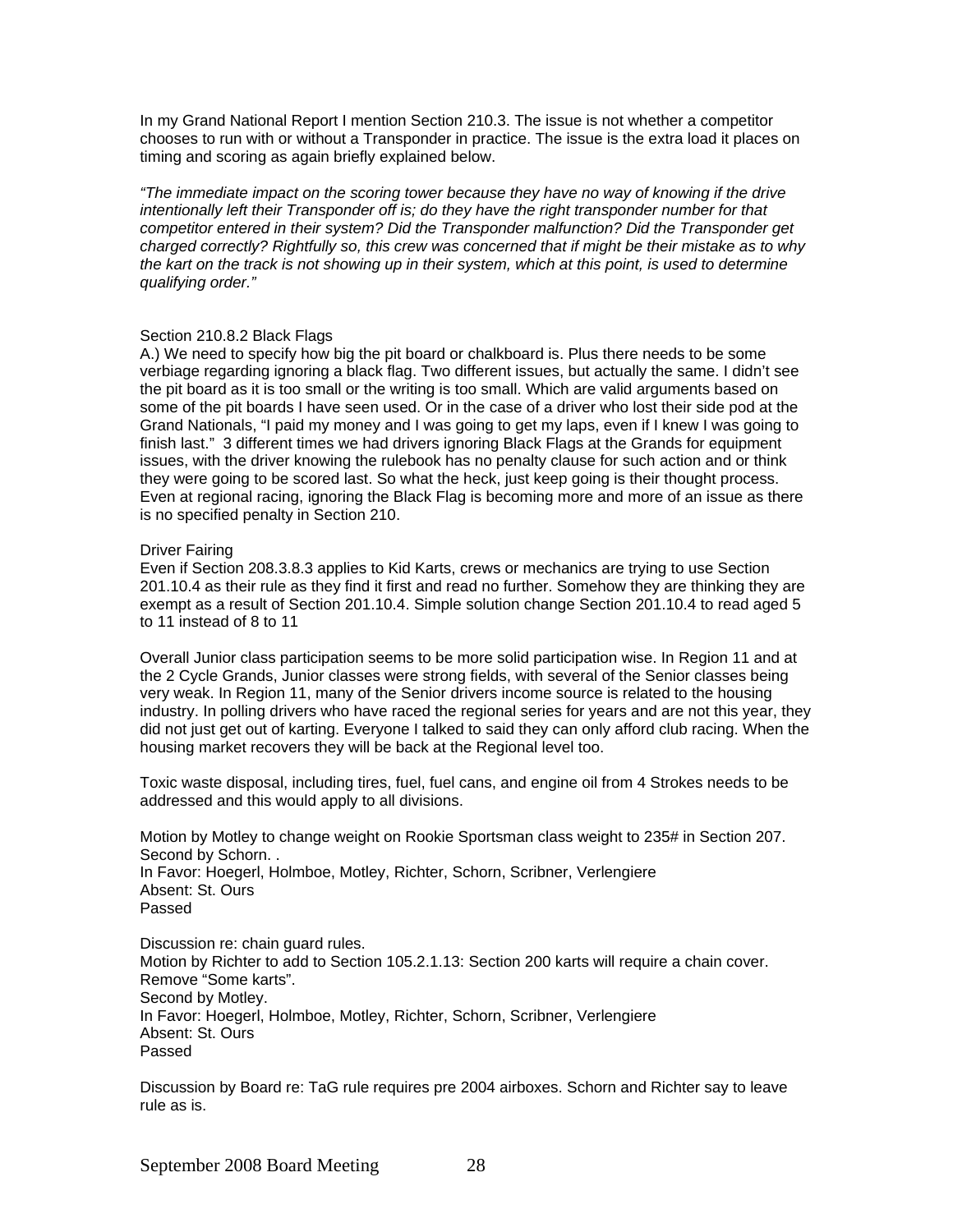In my Grand National Report I mention Section 210.3. The issue is not whether a competitor chooses to run with or without a Transponder in practice. The issue is the extra load it places on timing and scoring as again briefly explained below.

*"The immediate impact on the scoring tower because they have no way of knowing if the drive intentionally left their Transponder off is; do they have the right transponder number for that competitor entered in their system? Did the Transponder malfunction? Did the Transponder get charged correctly? Rightfully so, this crew was concerned that if might be their mistake as to why the kart on the track is not showing up in their system, which at this point, is used to determine qualifying order."* 

#### Section 210.8.2 Black Flags

A.) We need to specify how big the pit board or chalkboard is. Plus there needs to be some verbiage regarding ignoring a black flag. Two different issues, but actually the same. I didn't see the pit board as it is too small or the writing is too small. Which are valid arguments based on some of the pit boards I have seen used. Or in the case of a driver who lost their side pod at the Grand Nationals, "I paid my money and I was going to get my laps, even if I knew I was going to finish last." 3 different times we had drivers ignoring Black Flags at the Grands for equipment issues, with the driver knowing the rulebook has no penalty clause for such action and or think they were going to be scored last. So what the heck, just keep going is their thought process. Even at regional racing, ignoring the Black Flag is becoming more and more of an issue as there is no specified penalty in Section 210.

#### Driver Fairing

Even if Section 208.3.8.3 applies to Kid Karts, crews or mechanics are trying to use Section 201.10.4 as their rule as they find it first and read no further. Somehow they are thinking they are exempt as a result of Section 201.10.4. Simple solution change Section 201.10.4 to read aged 5 to 11 instead of 8 to 11

Overall Junior class participation seems to be more solid participation wise. In Region 11 and at the 2 Cycle Grands, Junior classes were strong fields, with several of the Senior classes being very weak. In Region 11, many of the Senior drivers income source is related to the housing industry. In polling drivers who have raced the regional series for years and are not this year, they did not just get out of karting. Everyone I talked to said they can only afford club racing. When the housing market recovers they will be back at the Regional level too.

Toxic waste disposal, including tires, fuel, fuel cans, and engine oil from 4 Strokes needs to be addressed and this would apply to all divisions.

Motion by Motley to change weight on Rookie Sportsman class weight to 235# in Section 207. Second by Schorn. . In Favor: Hoegerl, Holmboe, Motley, Richter, Schorn, Scribner, Verlengiere Absent: St. Ours Passed

Discussion re: chain guard rules. Motion by Richter to add to Section 105.2.1.13: Section 200 karts will require a chain cover. Remove "Some karts". Second by Motley. In Favor: Hoegerl, Holmboe, Motley, Richter, Schorn, Scribner, Verlengiere Absent: St. Ours Passed

Discussion by Board re: TaG rule requires pre 2004 airboxes. Schorn and Richter say to leave rule as is.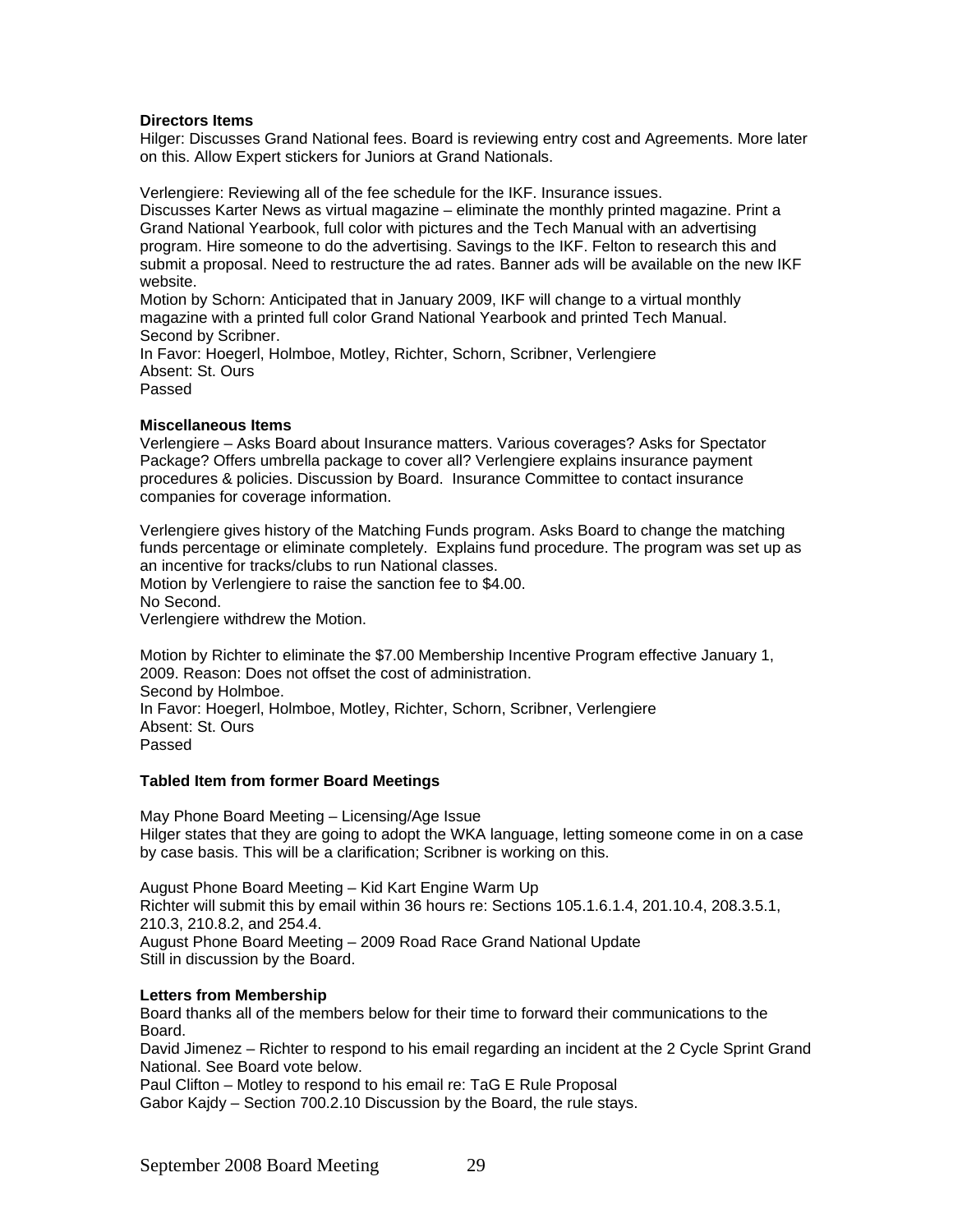#### **Directors Items**

Hilger: Discusses Grand National fees. Board is reviewing entry cost and Agreements. More later on this. Allow Expert stickers for Juniors at Grand Nationals.

Verlengiere: Reviewing all of the fee schedule for the IKF. Insurance issues. Discusses Karter News as virtual magazine – eliminate the monthly printed magazine. Print a Grand National Yearbook, full color with pictures and the Tech Manual with an advertising program. Hire someone to do the advertising. Savings to the IKF. Felton to research this and submit a proposal. Need to restructure the ad rates. Banner ads will be available on the new IKF website.

Motion by Schorn: Anticipated that in January 2009, IKF will change to a virtual monthly magazine with a printed full color Grand National Yearbook and printed Tech Manual. Second by Scribner.

In Favor: Hoegerl, Holmboe, Motley, Richter, Schorn, Scribner, Verlengiere Absent: St. Ours Passed

#### **Miscellaneous Items**

Verlengiere – Asks Board about Insurance matters. Various coverages? Asks for Spectator Package? Offers umbrella package to cover all? Verlengiere explains insurance payment procedures & policies. Discussion by Board. Insurance Committee to contact insurance companies for coverage information.

Verlengiere gives history of the Matching Funds program. Asks Board to change the matching funds percentage or eliminate completely. Explains fund procedure. The program was set up as an incentive for tracks/clubs to run National classes. Motion by Verlengiere to raise the sanction fee to \$4.00. No Second. Verlengiere withdrew the Motion.

Motion by Richter to eliminate the \$7.00 Membership Incentive Program effective January 1, 2009. Reason: Does not offset the cost of administration. Second by Holmboe. In Favor: Hoegerl, Holmboe, Motley, Richter, Schorn, Scribner, Verlengiere Absent: St. Ours Passed

#### **Tabled Item from former Board Meetings**

May Phone Board Meeting – Licensing/Age Issue Hilger states that they are going to adopt the WKA language, letting someone come in on a case by case basis. This will be a clarification; Scribner is working on this.

August Phone Board Meeting – Kid Kart Engine Warm Up Richter will submit this by email within 36 hours re: Sections 105.1.6.1.4, 201.10.4, 208.3.5.1, 210.3, 210.8.2, and 254.4. August Phone Board Meeting – 2009 Road Race Grand National Update Still in discussion by the Board.

#### **Letters from Membership**

Board thanks all of the members below for their time to forward their communications to the Board.

David Jimenez – Richter to respond to his email regarding an incident at the 2 Cycle Sprint Grand National. See Board vote below.

Paul Clifton – Motley to respond to his email re: TaG E Rule Proposal Gabor Kajdy – Section 700.2.10 Discussion by the Board, the rule stays.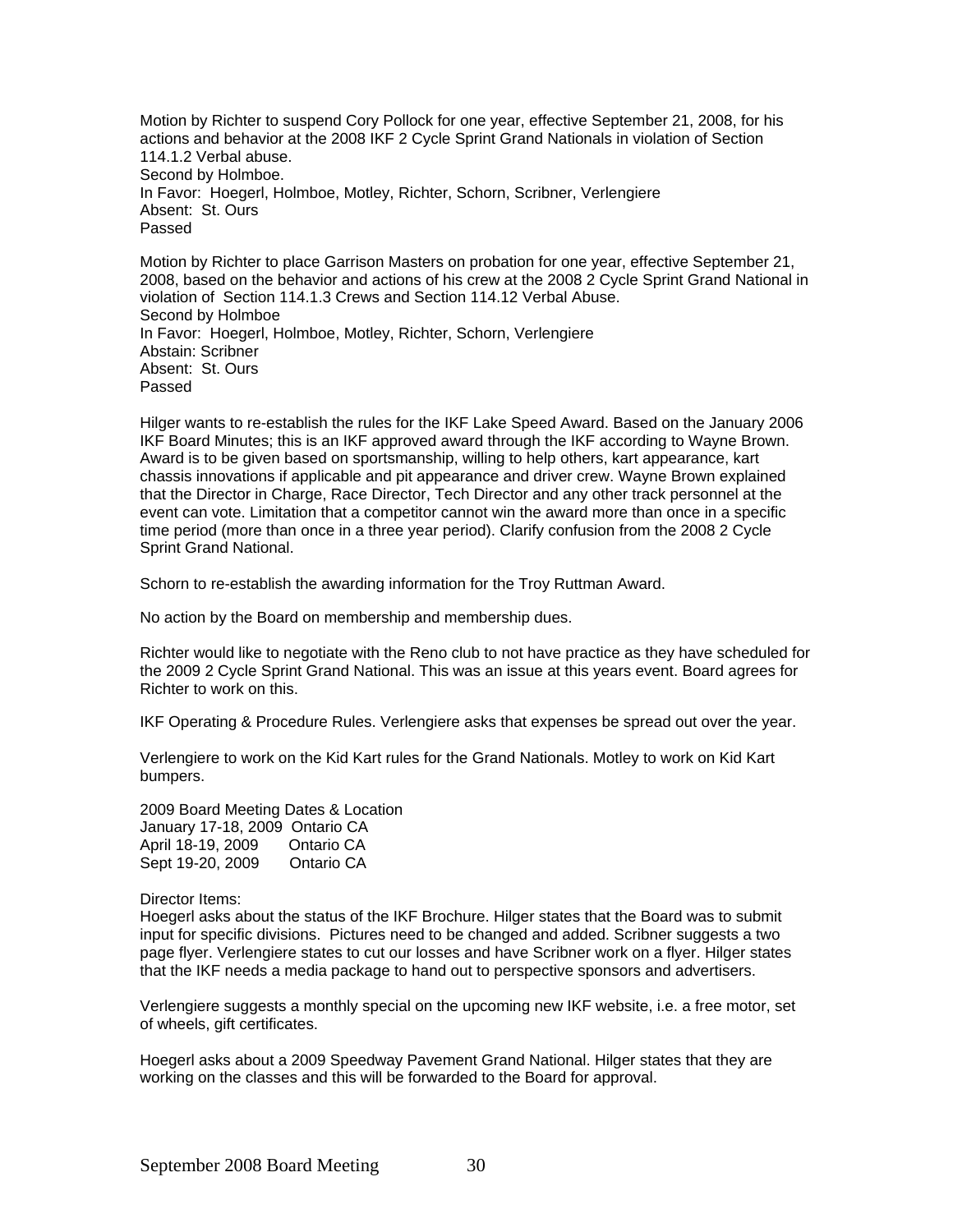Motion by Richter to suspend Cory Pollock for one year, effective September 21, 2008, for his actions and behavior at the 2008 IKF 2 Cycle Sprint Grand Nationals in violation of Section 114.1.2 Verbal abuse. Second by Holmboe. In Favor: Hoegerl, Holmboe, Motley, Richter, Schorn, Scribner, Verlengiere Absent: St. Ours Passed

Motion by Richter to place Garrison Masters on probation for one year, effective September 21, 2008, based on the behavior and actions of his crew at the 2008 2 Cycle Sprint Grand National in violation of Section 114.1.3 Crews and Section 114.12 Verbal Abuse. Second by Holmboe In Favor: Hoegerl, Holmboe, Motley, Richter, Schorn, Verlengiere Abstain: Scribner Absent: St. Ours Passed

Hilger wants to re-establish the rules for the IKF Lake Speed Award. Based on the January 2006 IKF Board Minutes; this is an IKF approved award through the IKF according to Wayne Brown. Award is to be given based on sportsmanship, willing to help others, kart appearance, kart chassis innovations if applicable and pit appearance and driver crew. Wayne Brown explained that the Director in Charge, Race Director, Tech Director and any other track personnel at the event can vote. Limitation that a competitor cannot win the award more than once in a specific time period (more than once in a three year period). Clarify confusion from the 2008 2 Cycle Sprint Grand National.

Schorn to re-establish the awarding information for the Troy Ruttman Award.

No action by the Board on membership and membership dues.

Richter would like to negotiate with the Reno club to not have practice as they have scheduled for the 2009 2 Cycle Sprint Grand National. This was an issue at this years event. Board agrees for Richter to work on this.

IKF Operating & Procedure Rules. Verlengiere asks that expenses be spread out over the year.

Verlengiere to work on the Kid Kart rules for the Grand Nationals. Motley to work on Kid Kart bumpers.

2009 Board Meeting Dates & Location January 17-18, 2009 Ontario CA April 18-19, 2009 Ontario CA Sept 19-20, 2009 Ontario CA

Director Items:

Hoegerl asks about the status of the IKF Brochure. Hilger states that the Board was to submit input for specific divisions. Pictures need to be changed and added. Scribner suggests a two page flyer. Verlengiere states to cut our losses and have Scribner work on a flyer. Hilger states that the IKF needs a media package to hand out to perspective sponsors and advertisers.

Verlengiere suggests a monthly special on the upcoming new IKF website, i.e. a free motor, set of wheels, gift certificates.

Hoegerl asks about a 2009 Speedway Pavement Grand National. Hilger states that they are working on the classes and this will be forwarded to the Board for approval.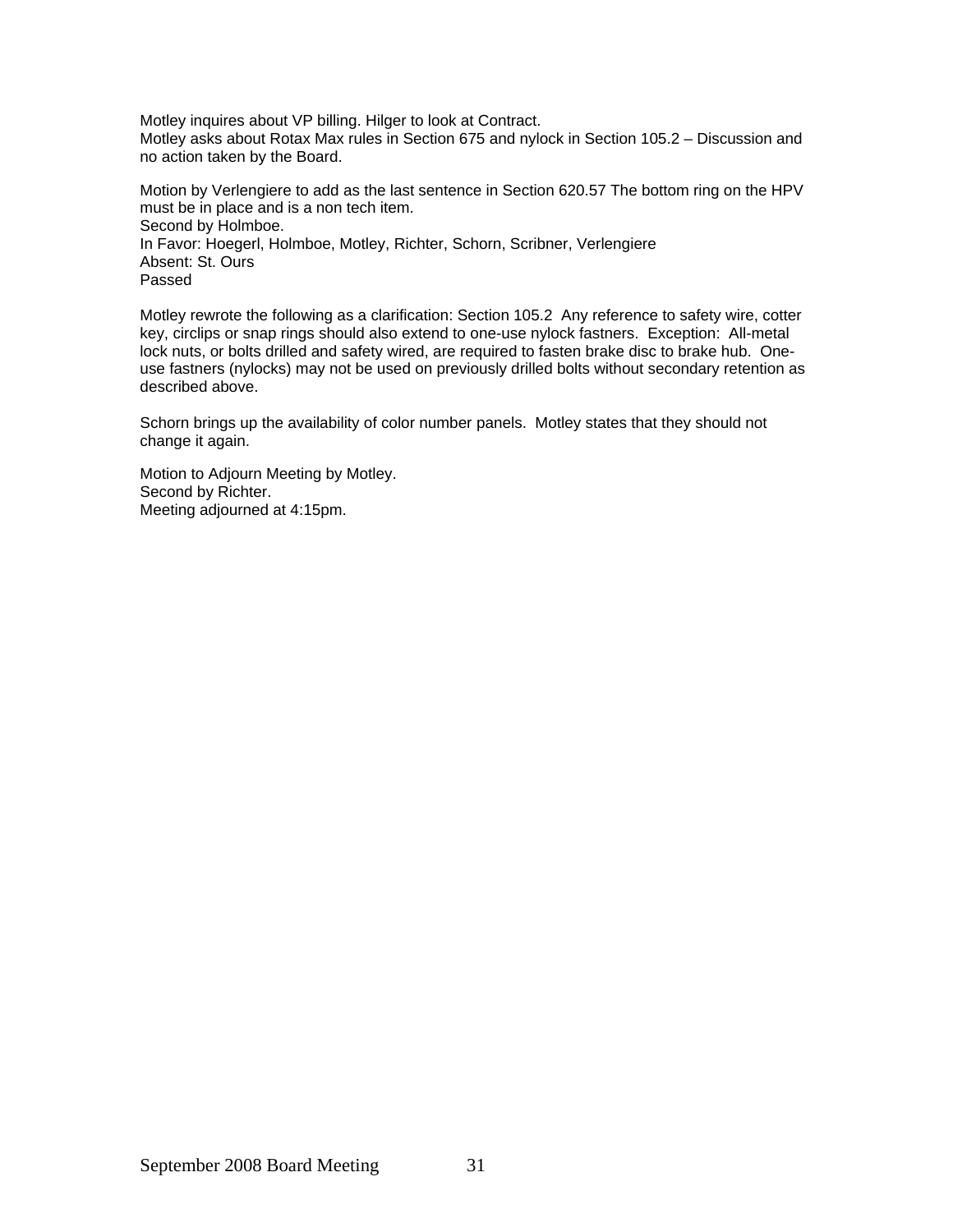Motley inquires about VP billing. Hilger to look at Contract. Motley asks about Rotax Max rules in Section 675 and nylock in Section 105.2 – Discussion and no action taken by the Board.

Motion by Verlengiere to add as the last sentence in Section 620.57 The bottom ring on the HPV must be in place and is a non tech item. Second by Holmboe. In Favor: Hoegerl, Holmboe, Motley, Richter, Schorn, Scribner, Verlengiere Absent: St. Ours Passed

Motley rewrote the following as a clarification: Section 105.2 Any reference to safety wire, cotter key, circlips or snap rings should also extend to one-use nylock fastners. Exception: All-metal lock nuts, or bolts drilled and safety wired, are required to fasten brake disc to brake hub. Oneuse fastners (nylocks) may not be used on previously drilled bolts without secondary retention as described above.

Schorn brings up the availability of color number panels. Motley states that they should not change it again.

Motion to Adjourn Meeting by Motley. Second by Richter. Meeting adjourned at 4:15pm.